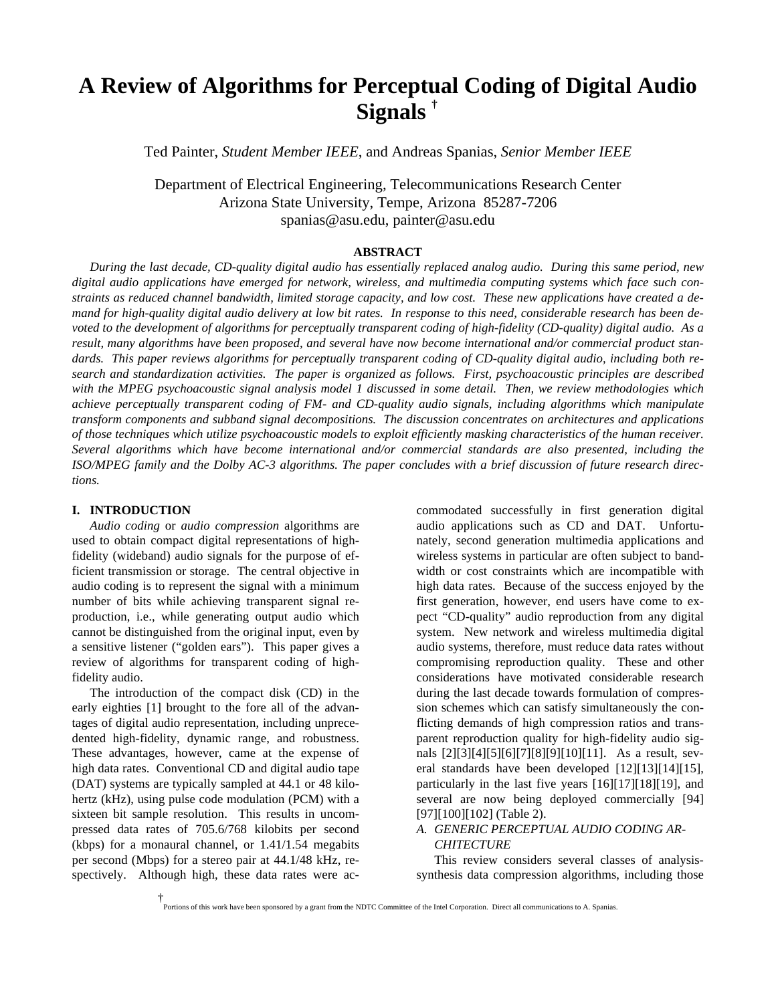# **A Review of Algorithms for Perceptual Coding of Digital Audio Signals †**

Ted Painter, *Student Member IEEE*, and Andreas Spanias, *Senior Member IEEE*

Department of Electrical Engineering, Telecommunications Research Center Arizona State University, Tempe, Arizona 85287-7206 spanias@asu.edu, painter@asu.edu

# **ABSTRACT**

*During the last decade, CD-quality digital audio has essentially replaced analog audio. During this same period, new digital audio applications have emerged for network, wireless, and multimedia computing systems which face such constraints as reduced channel bandwidth, limited storage capacity, and low cost. These new applications have created a demand for high-quality digital audio delivery at low bit rates. In response to this need, considerable research has been devoted to the development of algorithms for perceptually transparent coding of high-fidelity (CD-quality) digital audio. As a result, many algorithms have been proposed, and several have now become international and/or commercial product standards. This paper reviews algorithms for perceptually transparent coding of CD-quality digital audio, including both research and standardization activities. The paper is organized as follows. First, psychoacoustic principles are described with the MPEG psychoacoustic signal analysis model 1 discussed in some detail. Then, we review methodologies which achieve perceptually transparent coding of FM- and CD-quality audio signals, including algorithms which manipulate transform components and subband signal decompositions. The discussion concentrates on architectures and applications of those techniques which utilize psychoacoustic models to exploit efficiently masking characteristics of the human receiver. Several algorithms which have become international and/or commercial standards are also presented, including the ISO/MPEG family and the Dolby AC-3 algorithms. The paper concludes with a brief discussion of future research directions.*

#### **I. INTRODUCTION**

*Audio coding* or *audio compression* algorithms are used to obtain compact digital representations of highfidelity (wideband) audio signals for the purpose of efficient transmission or storage. The central objective in audio coding is to represent the signal with a minimum number of bits while achieving transparent signal reproduction, i.e., while generating output audio which cannot be distinguished from the original input, even by a sensitive listener ("golden ears"). This paper gives a review of algorithms for transparent coding of highfidelity audio.

The introduction of the compact disk (CD) in the early eighties [1] brought to the fore all of the advantages of digital audio representation, including unprecedented high-fidelity, dynamic range, and robustness. These advantages, however, came at the expense of high data rates. Conventional CD and digital audio tape (DAT) systems are typically sampled at 44.1 or 48 kilohertz (kHz), using pulse code modulation (PCM) with a sixteen bit sample resolution. This results in uncompressed data rates of 705.6/768 kilobits per second (kbps) for a monaural channel, or 1.41/1.54 megabits per second (Mbps) for a stereo pair at 44.1/48 kHz, respectively. Although high, these data rates were ac-

commodated successfully in first generation digital audio applications such as CD and DAT. Unfortunately, second generation multimedia applications and wireless systems in particular are often subject to bandwidth or cost constraints which are incompatible with high data rates. Because of the success enjoyed by the first generation, however, end users have come to expect "CD-quality" audio reproduction from any digital system. New network and wireless multimedia digital audio systems, therefore, must reduce data rates without compromising reproduction quality. These and other considerations have motivated considerable research during the last decade towards formulation of compression schemes which can satisfy simultaneously the conflicting demands of high compression ratios and transparent reproduction quality for high-fidelity audio signals [2][3][4][5][6][7][8][9][10][11]. As a result, several standards have been developed [12][13][14][15], particularly in the last five years [16][17][18][19], and several are now being deployed commercially [94] [97][100][102] (Table 2).

## *A. GENERIC PERCEPTUAL AUDIO CODING AR-CHITECTURE*

This review considers several classes of analysissynthesis data compression algorithms, including those

† Portions of this work have been sponsored by a grant from the NDTC Committee of the Intel Corporation. Direct all communications to A. Spanias.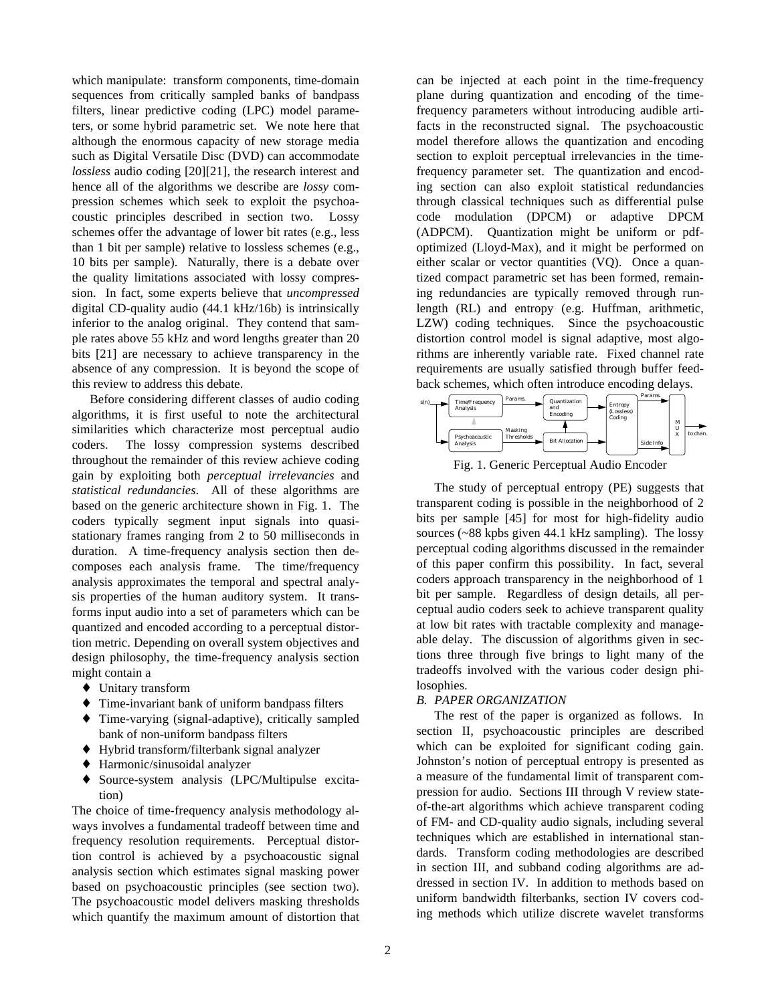which manipulate: transform components, time-domain sequences from critically sampled banks of bandpass filters, linear predictive coding (LPC) model parameters, or some hybrid parametric set. We note here that although the enormous capacity of new storage media such as Digital Versatile Disc (DVD) can accommodate *lossless* audio coding [20][21], the research interest and hence all of the algorithms we describe are *lossy* compression schemes which seek to exploit the psychoacoustic principles described in section two. Lossy schemes offer the advantage of lower bit rates (e.g., less than 1 bit per sample) relative to lossless schemes (e.g., 10 bits per sample). Naturally, there is a debate over the quality limitations associated with lossy compression. In fact, some experts believe that *uncompressed* digital CD-quality audio (44.1 kHz/16b) is intrinsically inferior to the analog original. They contend that sample rates above 55 kHz and word lengths greater than 20 bits [21] are necessary to achieve transparency in the absence of any compression. It is beyond the scope of this review to address this debate.

Before considering different classes of audio coding algorithms, it is first useful to note the architectural similarities which characterize most perceptual audio coders. The lossy compression systems described throughout the remainder of this review achieve coding gain by exploiting both *perceptual irrelevancies* and *statistical redundancies*. All of these algorithms are based on the generic architecture shown in Fig. 1. The coders typically segment input signals into quasistationary frames ranging from 2 to 50 milliseconds in duration. A time-frequency analysis section then decomposes each analysis frame. The time/frequency analysis approximates the temporal and spectral analysis properties of the human auditory system. It transforms input audio into a set of parameters which can be quantized and encoded according to a perceptual distortion metric. Depending on overall system objectives and design philosophy, the time-frequency analysis section might contain a

- ♦ Unitary transform
- ♦ Time-invariant bank of uniform bandpass filters
- ♦ Time-varying (signal-adaptive), critically sampled bank of non-uniform bandpass filters
- ♦ Hybrid transform/filterbank signal analyzer
- ♦ Harmonic/sinusoidal analyzer
- ♦ Source-system analysis (LPC/Multipulse excitation)

The choice of time-frequency analysis methodology always involves a fundamental tradeoff between time and frequency resolution requirements. Perceptual distortion control is achieved by a psychoacoustic signal analysis section which estimates signal masking power based on psychoacoustic principles (see section two). The psychoacoustic model delivers masking thresholds which quantify the maximum amount of distortion that can be injected at each point in the time-frequency plane during quantization and encoding of the timefrequency parameters without introducing audible artifacts in the reconstructed signal. The psychoacoustic model therefore allows the quantization and encoding section to exploit perceptual irrelevancies in the timefrequency parameter set. The quantization and encoding section can also exploit statistical redundancies through classical techniques such as differential pulse code modulation (DPCM) or adaptive DPCM (ADPCM). Quantization might be uniform or pdfoptimized (Lloyd-Max), and it might be performed on either scalar or vector quantities (VQ). Once a quantized compact parametric set has been formed, remaining redundancies are typically removed through runlength (RL) and entropy (e.g. Huffman, arithmetic, LZW) coding techniques. Since the psychoacoustic distortion control model is signal adaptive, most algorithms are inherently variable rate. Fixed channel rate requirements are usually satisfied through buffer feedback schemes, which often introduce encoding delays.



Fig. 1. Generic Perceptual Audio Encoder

The study of perceptual entropy (PE) suggests that transparent coding is possible in the neighborhood of 2 bits per sample [45] for most for high-fidelity audio sources (~88 kpbs given 44.1 kHz sampling). The lossy perceptual coding algorithms discussed in the remainder of this paper confirm this possibility. In fact, several coders approach transparency in the neighborhood of 1 bit per sample. Regardless of design details, all perceptual audio coders seek to achieve transparent quality at low bit rates with tractable complexity and manageable delay. The discussion of algorithms given in sections three through five brings to light many of the tradeoffs involved with the various coder design philosophies.

#### *B. PAPER ORGANIZATION*

The rest of the paper is organized as follows. In section II, psychoacoustic principles are described which can be exploited for significant coding gain. Johnston's notion of perceptual entropy is presented as a measure of the fundamental limit of transparent compression for audio. Sections III through V review stateof-the-art algorithms which achieve transparent coding of FM- and CD-quality audio signals, including several techniques which are established in international standards. Transform coding methodologies are described in section III, and subband coding algorithms are addressed in section IV. In addition to methods based on uniform bandwidth filterbanks, section IV covers coding methods which utilize discrete wavelet transforms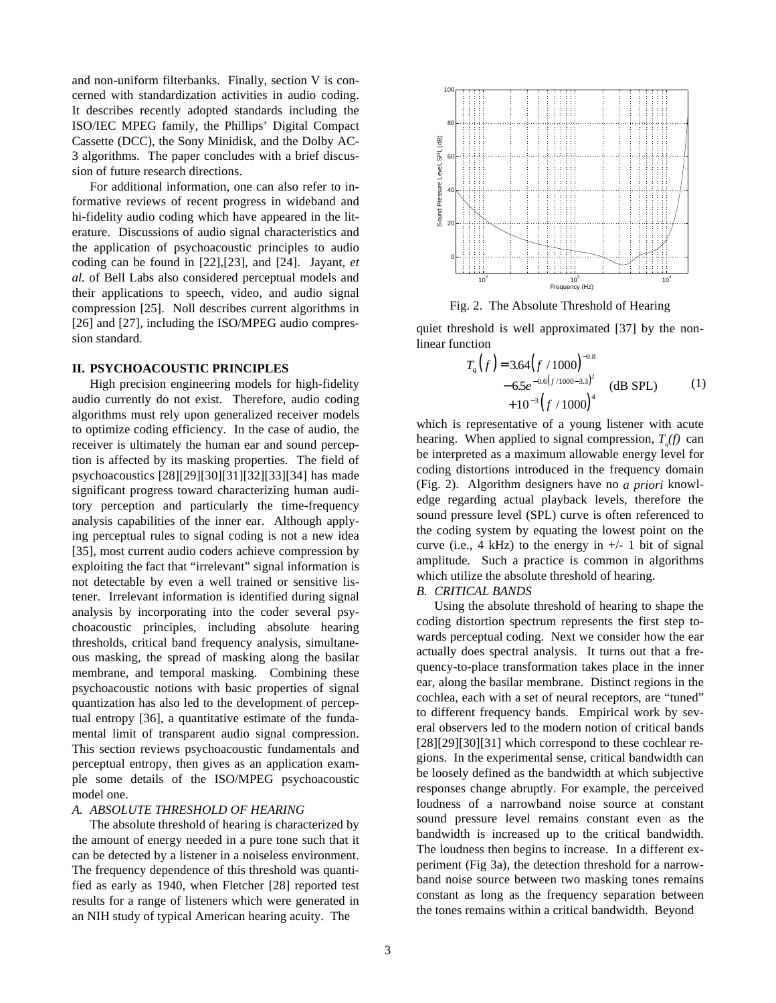and non-uniform filterbanks. Finally, section V is concerned with standardization activities in audio coding. It describes recently adopted standards including the ISO/IEC MPEG family, the Phillips' Digital Compact Cassette (DCC), the Sony Minidisk, and the Dolby AC-3 algorithms. The paper concludes with a brief discussion of future research directions.

For additional information, one can also refer to informative reviews of recent progress in wideband and hi-fidelity audio coding which have appeared in the literature. Discussions of audio signal characteristics and the application of psychoacoustic principles to audio coding can be found in [22],[23], and [24]. Jayant, *et al.* of Bell Labs also considered perceptual models and their applications to speech, video, and audio signal compression [25]. Noll describes current algorithms in [26] and [27], including the ISO/MPEG audio compression standard.

## **II. PSYCHOACOUSTIC PRINCIPLES**

High precision engineering models for high-fidelity audio currently do not exist. Therefore, audio coding algorithms must rely upon generalized receiver models to optimize coding efficiency. In the case of audio, the receiver is ultimately the human ear and sound perception is affected by its masking properties. The field of psychoacoustics [28][29][30][31][32][33][34] has made significant progress toward characterizing human auditory perception and particularly the time-frequency analysis capabilities of the inner ear. Although applying perceptual rules to signal coding is not a new idea [35], most current audio coders achieve compression by exploiting the fact that "irrelevant" signal information is not detectable by even a well trained or sensitive listener. Irrelevant information is identified during signal analysis by incorporating into the coder several psychoacoustic principles, including absolute hearing thresholds, critical band frequency analysis, simultaneous masking, the spread of masking along the basilar membrane, and temporal masking. Combining these psychoacoustic notions with basic properties of signal quantization has also led to the development of perceptual entropy [36], a quantitative estimate of the fundamental limit of transparent audio signal compression. This section reviews psychoacoustic fundamentals and perceptual entropy, then gives as an application example some details of the ISO/MPEG psychoacoustic model one.

## *A. ABSOLUTE THRESHOLD OF HEARING*

The absolute threshold of hearing is characterized by the amount of energy needed in a pure tone such that it can be detected by a listener in a noiseless environment. The frequency dependence of this threshold was quantified as early as 1940, when Fletcher [28] reported test results for a range of listeners which were generated in an NIH study of typical American hearing acuity. The



Fig. 2. The Absolute Threshold of Hearing

quiet threshold is well approximated [37] by the nonlinear function

$$
T_q(f) = 3.64(f / 1000)^{-0.8}
$$
  
- 6.5e<sup>-0.6(f/1000-3.3)<sup>2</sup> (dB SPL)  
+ 10<sup>-3</sup>(f / 1000)<sup>4</sup> (1)</sup>

which is representative of a young listener with acute hearing. When applied to signal compression,  $T_q(f)$  can be interpreted as a maximum allowable energy level for coding distortions introduced in the frequency domain (Fig. 2). Algorithm designers have no *a priori* knowledge regarding actual playback levels, therefore the sound pressure level (SPL) curve is often referenced to the coding system by equating the lowest point on the curve (i.e., 4 kHz) to the energy in  $+/- 1$  bit of signal amplitude. Such a practice is common in algorithms which utilize the absolute threshold of hearing.

#### *B. CRITICAL BANDS*

Using the absolute threshold of hearing to shape the coding distortion spectrum represents the first step towards perceptual coding. Next we consider how the ear actually does spectral analysis. It turns out that a frequency-to-place transformation takes place in the inner ear, along the basilar membrane. Distinct regions in the cochlea, each with a set of neural receptors, are "tuned" to different frequency bands. Empirical work by several observers led to the modern notion of critical bands [28][29][30][31] which correspond to these cochlear regions. In the experimental sense, critical bandwidth can be loosely defined as the bandwidth at which subjective responses change abruptly. For example, the perceived loudness of a narrowband noise source at constant sound pressure level remains constant even as the bandwidth is increased up to the critical bandwidth. The loudness then begins to increase. In a different experiment (Fig 3a), the detection threshold for a narrowband noise source between two masking tones remains constant as long as the frequency separation between the tones remains within a critical bandwidth. Beyond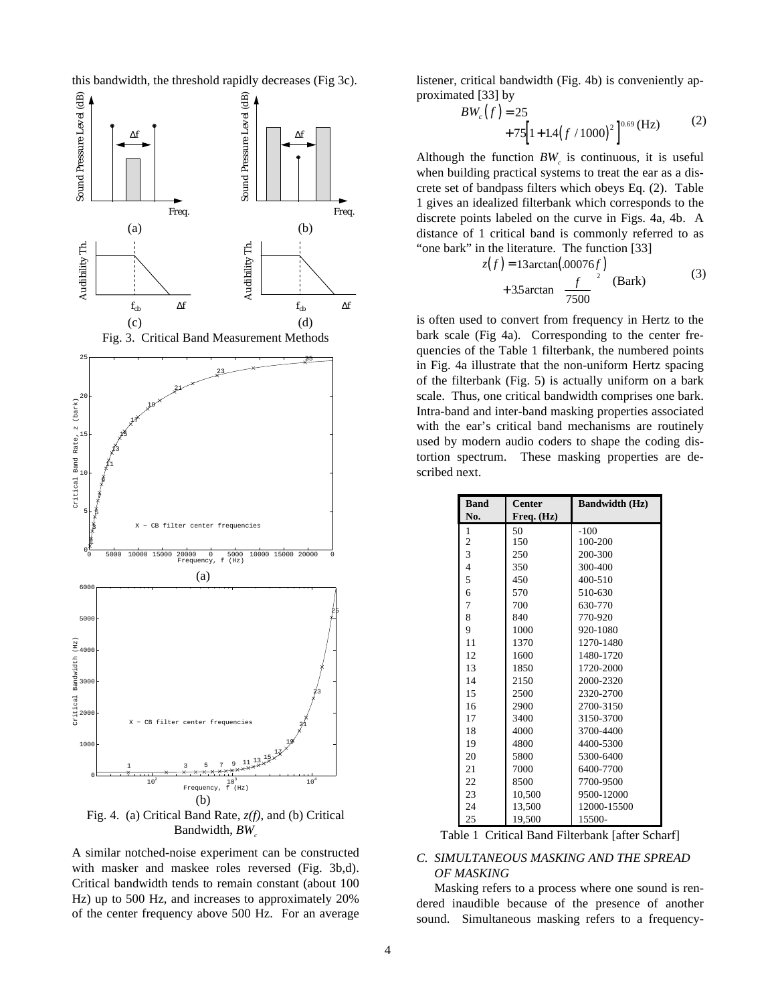

this bandwidth, the threshold rapidly decreases (Fig 3c).

Fig. 4. (a) Critical Band Rate, *z(f)*, and (b) Critical Bandwidth, BW

A similar notched-noise experiment can be constructed with masker and maskee roles reversed (Fig. 3b,d). Critical bandwidth tends to remain constant (about 100 Hz) up to 500 Hz, and increases to approximately 20% of the center frequency above 500 Hz. For an average

listener, critical bandwidth (Fig. 4b) is conveniently approximated [33] by

$$
BW_c(f) = 25
$$
  
+ 75[1+1.4(f / 1000)<sup>2</sup>]<sup>0.69</sup> (Hz) (2)

Although the function  $BW_c$  is continuous, it is useful when building practical systems to treat the ear as a discrete set of bandpass filters which obeys Eq. (2). Table 1 gives an idealized filterbank which corresponds to the discrete points labeled on the curve in Figs. 4a, 4b. A distance of 1 critical band is commonly referred to as "one bark" in the literature. The function [33]

$$
z(f) = 13 \arctan(.00076f)
$$
  
+ 35 \arctan $\left[\left(\frac{f}{7500}\right)^2\right]$  (Bark) (3)

is often used to convert from frequency in Hertz to the bark scale (Fig 4a). Corresponding to the center frequencies of the Table 1 filterbank, the numbered points in Fig. 4a illustrate that the non-uniform Hertz spacing of the filterbank (Fig. 5) is actually uniform on a bark scale. Thus, one critical bandwidth comprises one bark. Intra-band and inter-band masking properties associated with the ear's critical band mechanisms are routinely used by modern audio coders to shape the coding distortion spectrum. These masking properties are described next.

| <b>Band</b>             | <b>Center</b> | <b>Bandwidth (Hz)</b> |  |  |
|-------------------------|---------------|-----------------------|--|--|
| No.                     | Freq. (Hz)    |                       |  |  |
| $\mathbf{1}$            | 50            | $-100$                |  |  |
| $\overline{c}$          | 150           | 100-200               |  |  |
| $\overline{\mathbf{3}}$ | 250           | 200-300               |  |  |
| $\overline{4}$          | 350           | 300-400               |  |  |
| 5                       | 450           | 400-510               |  |  |
| 6                       | 570           | 510-630               |  |  |
| $\overline{7}$          | 700           | 630-770               |  |  |
| 8                       | 840           | 770-920               |  |  |
| 9                       | 1000          | 920-1080              |  |  |
| 11                      | 1370          | 1270-1480             |  |  |
| 12                      | 1600          | 1480-1720             |  |  |
| 13                      | 1850          | 1720-2000             |  |  |
| 14                      | 2150          | 2000-2320             |  |  |
| 15                      | 2500          | 2320-2700             |  |  |
| 16                      | 2900          | 2700-3150             |  |  |
| 17                      | 3400          | 3150-3700             |  |  |
| 18                      | 4000          | 3700-4400             |  |  |
| 19                      | 4800          | 4400-5300             |  |  |
| 20                      | 5800          | 5300-6400             |  |  |
| 21                      | 7000          | 6400-7700             |  |  |
| 22                      | 8500          | 7700-9500             |  |  |
| 23                      | 10,500        | 9500-12000            |  |  |
| 24                      | 13,500        | 12000-15500           |  |  |
| 25                      | 19,500        | 15500-                |  |  |

Table 1 Critical Band Filterbank [after Scharf]

# *C. SIMULTANEOUS MASKING AND THE SPREAD OF MASKING*

Masking refers to a process where one sound is rendered inaudible because of the presence of another sound. Simultaneous masking refers to a frequency-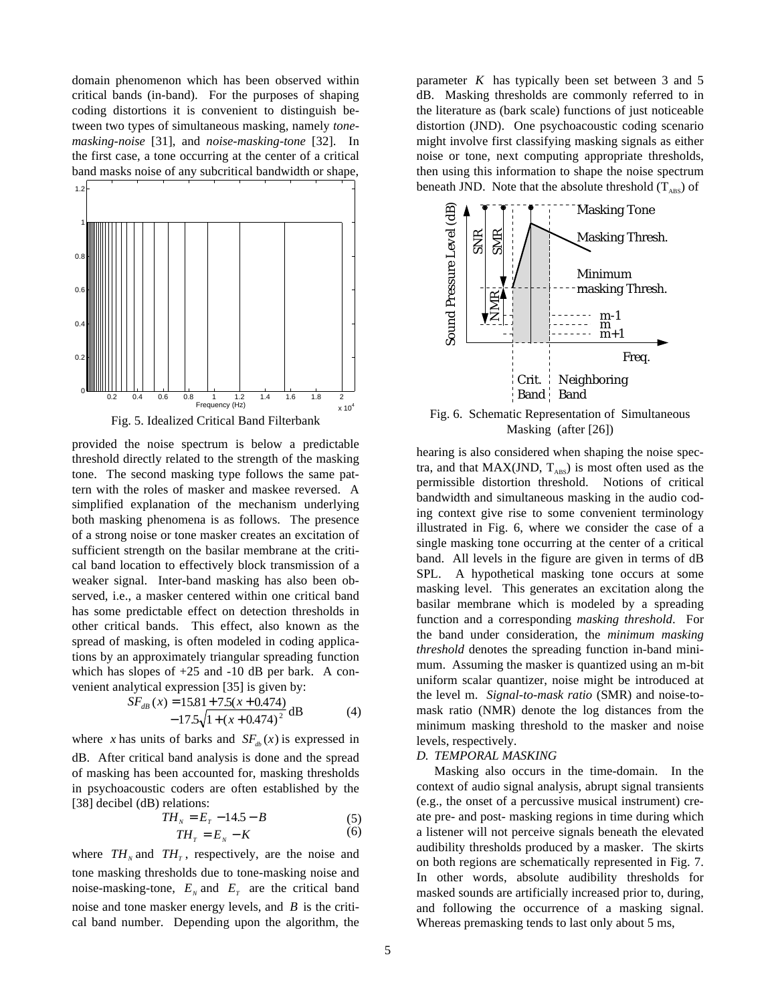domain phenomenon which has been observed within critical bands (in-band). For the purposes of shaping coding distortions it is convenient to distinguish between two types of simultaneous masking, namely *tonemasking-noise* [31], and *noise-masking-tone* [32]. In the first case, a tone occurring at the center of a critical band masks noise of any subcritical bandwidth or shape,





provided the noise spectrum is below a predictable threshold directly related to the strength of the masking tone. The second masking type follows the same pattern with the roles of masker and maskee reversed. A simplified explanation of the mechanism underlying both masking phenomena is as follows. The presence of a strong noise or tone masker creates an excitation of sufficient strength on the basilar membrane at the critical band location to effectively block transmission of a weaker signal. Inter-band masking has also been observed, i.e., a masker centered within one critical band has some predictable effect on detection thresholds in other critical bands. This effect, also known as the spread of masking, is often modeled in coding applications by an approximately triangular spreading function which has slopes of  $+25$  and  $-10$  dB per bark. A convenient analytical expression [35] is given by:

$$
SF_{dB}(x) = 15.81 + 7.5(x + 0.474)
$$
  
- 17.5 $\sqrt{1 + (x + 0.474)^2}$  dB (4)

where *x* has units of barks and  $SF_{ab}(x)$  is expressed in dB. After critical band analysis is done and the spread of masking has been accounted for, masking thresholds in psychoacoustic coders are often established by the [38] decibel (dB) relations:

$$
TH_{N} = E_{T} - 14.5 - B \tag{5}
$$

$$
TH_{T} = E_{N} - K \tag{6}
$$

where  $TH_N$  and  $TH_T$ , respectively, are the noise and tone masking thresholds due to tone-masking noise and noise-masking-tone,  $E_N$  and  $E_T$  are the critical band noise and tone masker energy levels, and *B* is the critical band number. Depending upon the algorithm, the parameter *K* has typically been set between 3 and 5 dB. Masking thresholds are commonly referred to in the literature as (bark scale) functions of just noticeable distortion (JND). One psychoacoustic coding scenario might involve first classifying masking signals as either noise or tone, next computing appropriate thresholds, then using this information to shape the noise spectrum beneath JND. Note that the absolute threshold  $(T_{\text{ABS}})$  of



Fig. 6. Schematic Representation of Simultaneous Masking (after [26])

hearing is also considered when shaping the noise spectra, and that MAX(JND,  $T_{\text{ABS}}$ ) is most often used as the permissible distortion threshold. Notions of critical bandwidth and simultaneous masking in the audio coding context give rise to some convenient terminology illustrated in Fig. 6, where we consider the case of a single masking tone occurring at the center of a critical band. All levels in the figure are given in terms of dB SPL. A hypothetical masking tone occurs at some masking level. This generates an excitation along the basilar membrane which is modeled by a spreading function and a corresponding *masking threshold*. For the band under consideration, the *minimum masking threshold* denotes the spreading function in-band minimum. Assuming the masker is quantized using an m-bit uniform scalar quantizer, noise might be introduced at the level m. *Signal-to-mask ratio* (SMR) and noise-tomask ratio (NMR) denote the log distances from the minimum masking threshold to the masker and noise levels, respectively.

#### *D. TEMPORAL MASKING*

Masking also occurs in the time-domain. In the context of audio signal analysis, abrupt signal transients (e.g., the onset of a percussive musical instrument) create pre- and post- masking regions in time during which a listener will not perceive signals beneath the elevated audibility thresholds produced by a masker. The skirts on both regions are schematically represented in Fig. 7. In other words, absolute audibility thresholds for masked sounds are artificially increased prior to, during, and following the occurrence of a masking signal. Whereas premasking tends to last only about 5 ms,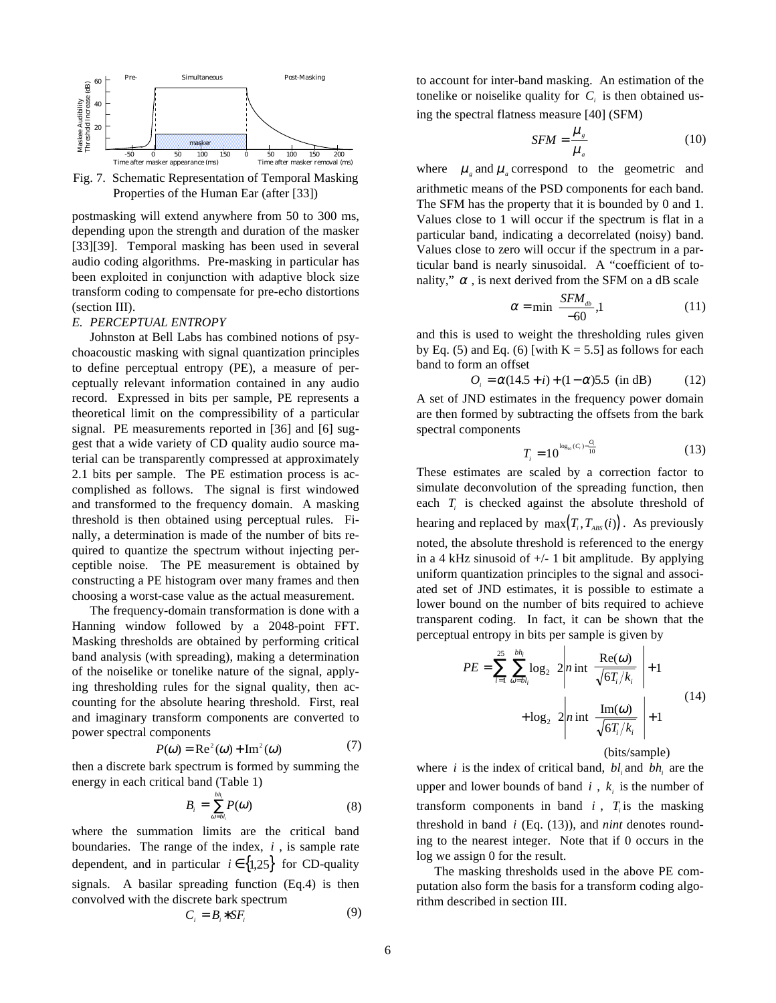

Fig. 7. Schematic Representation of Temporal Masking Properties of the Human Ear (after [33])

postmasking will extend anywhere from 50 to 300 ms, depending upon the strength and duration of the masker [33][39]. Temporal masking has been used in several audio coding algorithms. Pre-masking in particular has been exploited in conjunction with adaptive block size transform coding to compensate for pre-echo distortions (section III).

#### *E. PERCEPTUAL ENTROPY*

Johnston at Bell Labs has combined notions of psychoacoustic masking with signal quantization principles to define perceptual entropy (PE), a measure of perceptually relevant information contained in any audio record. Expressed in bits per sample, PE represents a theoretical limit on the compressibility of a particular signal. PE measurements reported in [36] and [6] suggest that a wide variety of CD quality audio source material can be transparently compressed at approximately 2.1 bits per sample. The PE estimation process is accomplished as follows. The signal is first windowed and transformed to the frequency domain. A masking threshold is then obtained using perceptual rules. Finally, a determination is made of the number of bits required to quantize the spectrum without injecting perceptible noise. The PE measurement is obtained by constructing a PE histogram over many frames and then choosing a worst-case value as the actual measurement.

The frequency-domain transformation is done with a Hanning window followed by a 2048-point FFT. Masking thresholds are obtained by performing critical band analysis (with spreading), making a determination of the noiselike or tonelike nature of the signal, applying thresholding rules for the signal quality, then accounting for the absolute hearing threshold. First, real and imaginary transform components are converted to power spectral components

$$
P(\omega) = \text{Re}^2(\omega) + \text{Im}^2(\omega)
$$
 (7)

then a discrete bark spectrum is formed by summing the energy in each critical band (Table 1)

$$
B_i = \sum_{\omega = bl_i}^{bh_i} P(\omega) \tag{8}
$$

where the summation limits are the critical band boundaries. The range of the index, *i* , is sample rate dependent, and in particular  $i \in \{1,25\}$  for CD-quality signals. A basilar spreading function (Eq.4) is then convolved with the discrete bark spectrum  $C_i = B_i * SF_i$  (9) to account for inter-band masking. An estimation of the tonelike or noiselike quality for  $C_i$  is then obtained using the spectral flatness measure [40] (SFM)

$$
SFM = \frac{\mu_s}{\mu_a} \tag{10}
$$

where  $\mu_{g}$  and  $\mu_{a}$  correspond to the geometric and arithmetic means of the PSD components for each band. The SFM has the property that it is bounded by 0 and 1. Values close to 1 will occur if the spectrum is flat in a particular band, indicating a decorrelated (noisy) band. Values close to zero will occur if the spectrum in a particular band is nearly sinusoidal. A "coefficient of tonality,"  $\alpha$ , is next derived from the SFM on a dB scale

$$
\alpha = \min\left(\frac{SFM_{ab}}{-60}, 1\right) \tag{11}
$$

and this is used to weight the thresholding rules given by Eq. (5) and Eq. (6) [with  $K = 5.5$ ] as follows for each band to form an offset

$$
O_i = \alpha(14.5 + i) + (1 - \alpha)5.5 \text{ (in dB)} \tag{12}
$$

A set of JND estimates in the frequency power domain are then formed by subtracting the offsets from the bark spectral components

$$
T_i = 10^{\log_{10}(C_i) - \frac{O_i}{10}} \tag{13}
$$

These estimates are scaled by a correction factor to simulate deconvolution of the spreading function, then each  $T<sub>i</sub>$  is checked against the absolute threshold of hearing and replaced by  $max(T_i, T_{\text{ARS}}(i))$ . As previously noted, the absolute threshold is referenced to the energy in a 4 kHz sinusoid of  $+/- 1$  bit amplitude. By applying uniform quantization principles to the signal and associated set of JND estimates, it is possible to estimate a lower bound on the number of bits required to achieve transparent coding. In fact, it can be shown that the perceptual entropy in bits per sample is given by

$$
PE = \sum_{i=1}^{25} \sum_{\omega = bl_i}^{bl_i} \log_2\left(2\left|n \inf \left(\frac{\text{Re}(\omega)}{\sqrt{6T_i/k_i}}\right)\right| + 1\right) + \log_2\left(2\left|n \inf \left(\frac{\text{Im}(\omega)}{\sqrt{6T_i/k_i}}\right)\right| + 1\right)
$$
(14)  
(bits/sample)

where *i* is the index of critical band, *bl* and *bh* are the upper and lower bounds of band  $i$ ,  $k<sub>i</sub>$  is the number of transform components in band  $i$ ,  $T<sub>i</sub>$  is the masking threshold in band *i* (Eq. (13)), and *nint* denotes rounding to the nearest integer. Note that if 0 occurs in the log we assign 0 for the result.

The masking thresholds used in the above PE computation also form the basis for a transform coding algorithm described in section III.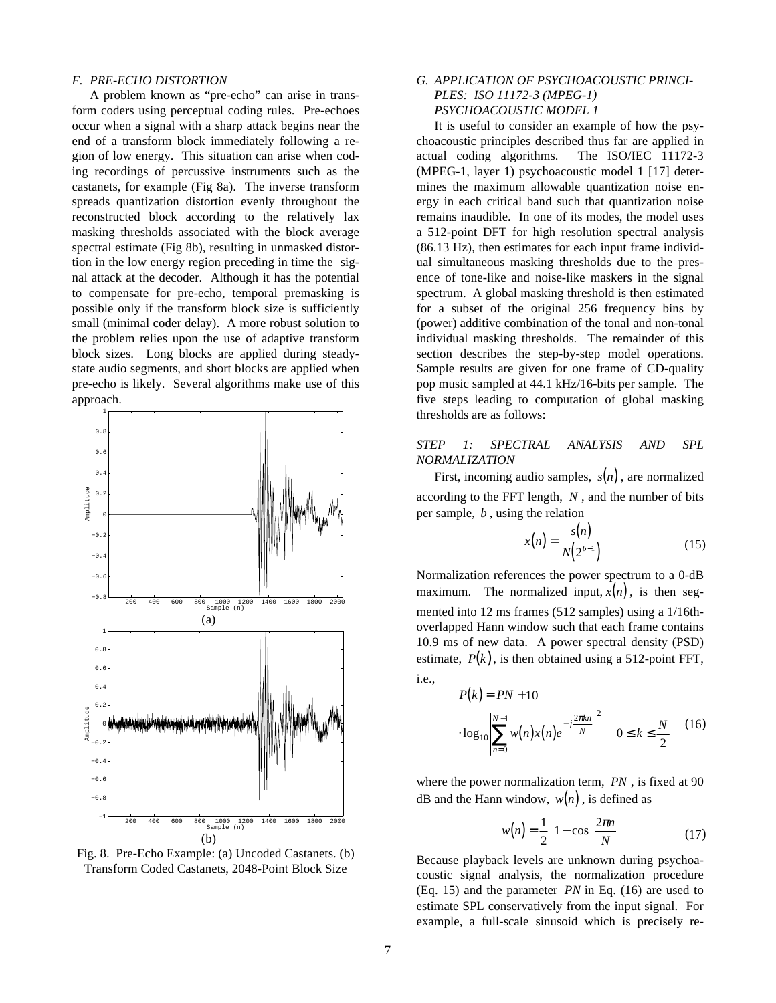#### *F. PRE-ECHO DISTORTION*

A problem known as "pre-echo" can arise in transform coders using perceptual coding rules. Pre-echoes occur when a signal with a sharp attack begins near the end of a transform block immediately following a region of low energy. This situation can arise when coding recordings of percussive instruments such as the castanets, for example (Fig 8a). The inverse transform spreads quantization distortion evenly throughout the reconstructed block according to the relatively lax masking thresholds associated with the block average spectral estimate (Fig 8b), resulting in unmasked distortion in the low energy region preceding in time the signal attack at the decoder. Although it has the potential to compensate for pre-echo, temporal premasking is possible only if the transform block size is sufficiently small (minimal coder delay). A more robust solution to the problem relies upon the use of adaptive transform block sizes. Long blocks are applied during steadystate audio segments, and short blocks are applied when pre-echo is likely. Several algorithms make use of this approach.



Fig. 8. Pre-Echo Example: (a) Uncoded Castanets. (b) Transform Coded Castanets, 2048-Point Block Size

# *G. APPLICATION OF PSYCHOACOUSTIC PRINCI-PLES: ISO 11172-3 (MPEG-1) PSYCHOACOUSTIC MODEL 1*

It is useful to consider an example of how the psychoacoustic principles described thus far are applied in actual coding algorithms. The ISO/IEC 11172-3 (MPEG-1, layer 1) psychoacoustic model 1 [17] determines the maximum allowable quantization noise energy in each critical band such that quantization noise remains inaudible. In one of its modes, the model uses a 512-point DFT for high resolution spectral analysis (86.13 Hz), then estimates for each input frame individual simultaneous masking thresholds due to the presence of tone-like and noise-like maskers in the signal spectrum. A global masking threshold is then estimated for a subset of the original 256 frequency bins by (power) additive combination of the tonal and non-tonal individual masking thresholds. The remainder of this section describes the step-by-step model operations. Sample results are given for one frame of CD-quality pop music sampled at 44.1 kHz/16-bits per sample. The five steps leading to computation of global masking thresholds are as follows:

# *STEP 1: SPECTRAL ANALYSIS AND SPL NORMALIZATION*

First, incoming audio samples,  $s(n)$ , are normalized according to the FFT length, *N* , and the number of bits per sample, *b* , using the relation

$$
x(n) = \frac{s(n)}{N(2^{b-1})}
$$
 (15)

Normalization references the power spectrum to a 0-dB maximum. The normalized input,  $x(n)$ , is then segmented into 12 ms frames (512 samples) using a 1/16thoverlapped Hann window such that each frame contains 10.9 ms of new data. A power spectral density (PSD) estimate,  $P(k)$ , is then obtained using a 512-point FFT, i.e.,

$$
P(k) = PN + 10
$$
  
 
$$
\cdot \log_{10} \left| \sum_{n=0}^{N-1} w(n) x(n) e^{-j\frac{2\pi k n}{N}} \right|^2 \quad 0 \le k \le \frac{N}{2}
$$
 (16)

where the power normalization term, *PN* , is fixed at 90 dB and the Hann window,  $w(n)$ , is defined as

$$
w(n) = \frac{1}{2} \left[ 1 - \cos\left(\frac{2\pi n}{N}\right) \right]
$$
 (17)

Because playback levels are unknown during psychoacoustic signal analysis, the normalization procedure (Eq. 15) and the parameter *PN* in Eq. (16) are used to estimate SPL conservatively from the input signal. For example, a full-scale sinusoid which is precisely re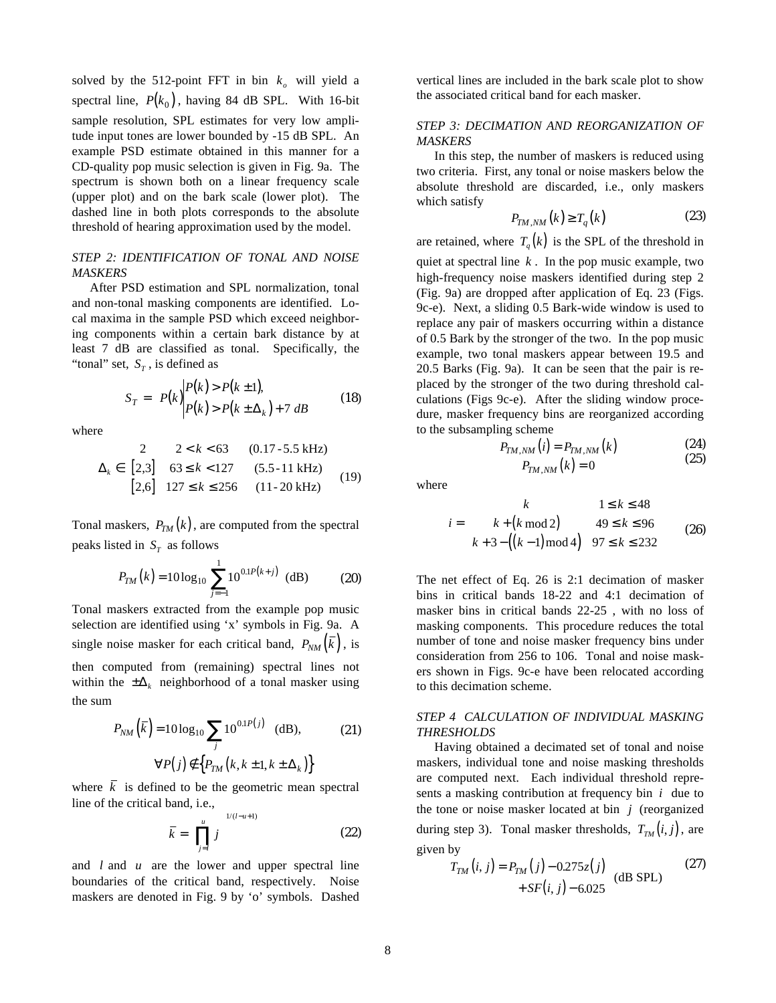solved by the 512-point FFT in bin  $k<sub>o</sub>$  will yield a spectral line,  $P(k_0)$ , having 84 dB SPL. With 16-bit sample resolution, SPL estimates for very low amplitude input tones are lower bounded by -15 dB SPL. An example PSD estimate obtained in this manner for a CD-quality pop music selection is given in Fig. 9a. The spectrum is shown both on a linear frequency scale (upper plot) and on the bark scale (lower plot). The dashed line in both plots corresponds to the absolute threshold of hearing approximation used by the model.

## *STEP 2: IDENTIFICATION OF TONAL AND NOISE MASKERS*

After PSD estimation and SPL normalization, tonal and non-tonal masking components are identified. Local maxima in the sample PSD which exceed neighboring components within a certain bark distance by at least 7 dB are classified as tonal. Specifically, the "tonal" set,  $S_T$ , is defined as

$$
S_T = \left\{ P(k) \middle| \begin{aligned} & P(k) > P(k \pm 1), \\ & P(k) > P(k \pm \Delta_k) + 7 \, dB \end{aligned} \right\} \tag{18}
$$

where

$$
\Delta_k \in \begin{cases}\n2 & 2 < k < 63 \quad (0.17 - 5.5 \text{ kHz}) \\
[2,3] & 63 \le k < 127 \quad (5.5 - 11 \text{ kHz}) \\
[2,6] & 127 \le k \le 256 \quad (11 - 20 \text{ kHz})\n\end{cases}
$$
\n(19)

Tonal maskers,  $P_{TM}(k)$ , are computed from the spectral peaks listed in  $S_T$  as follows

$$
P_{TM}(k) = 10\log_{10}\sum_{j=-1}^{1} 10^{0.1P(k+j)} \text{ (dB)} \qquad (20)
$$

Tonal maskers extracted from the example pop music selection are identified using 'x' symbols in Fig. 9a. A single noise masker for each critical band,  $P_{NM}(\overline{k})$ , is then computed from (remaining) spectral lines not within the  $\pm \Delta_k$  neighborhood of a tonal masker using the sum

$$
P_{NM}\left(\overline{k}\right) = 10\log_{10}\sum_{j} 10^{0.1P(j)} \quad \text{(dB)},\tag{21}
$$

$$
\forall P(j) \notin \left\{P_{TM}\left(k, k \pm 1, k \pm \Delta_k\right)\right\}
$$

where  $\overline{k}$  is defined to be the geometric mean spectral line of the critical band, i.e.,

$$
\overline{k} = \left(\prod_{j=l}^{u} j\right)^{1/(l-u+1)}
$$
\n(22)

and *l* and *u* are the lower and upper spectral line boundaries of the critical band, respectively. Noise maskers are denoted in Fig. 9 by 'o' symbols. Dashed

vertical lines are included in the bark scale plot to show the associated critical band for each masker.

# *STEP 3: DECIMATION AND REORGANIZATION OF MASKERS*

In this step, the number of maskers is reduced using two criteria. First, any tonal or noise maskers below the absolute threshold are discarded, i.e., only maskers which satisfy

$$
P_{TM,NM}(k) \ge T_q(k) \tag{23}
$$

are retained, where  $T_q(k)$  is the SPL of the threshold in quiet at spectral line *k* . In the pop music example, two high-frequency noise maskers identified during step 2 (Fig. 9a) are dropped after application of Eq. 23 (Figs. 9c-e). Next, a sliding 0.5 Bark-wide window is used to replace any pair of maskers occurring within a distance of 0.5 Bark by the stronger of the two. In the pop music example, two tonal maskers appear between 19.5 and 20.5 Barks (Fig. 9a). It can be seen that the pair is replaced by the stronger of the two during threshold calculations (Figs 9c-e). After the sliding window procedure, masker frequency bins are reorganized according to the subsampling scheme

$$
P_{TM,NM}(i) = P_{TM,NM}(k)
$$
\n(24)  
\n
$$
P_{TM,NM}(k) = 0
$$
\n(25)

where

$$
i = \begin{cases} k & 1 \le k \le 48 \\ k + (k \mod 2) & 49 \le k \le 96 \\ k + 3 - ((k - 1) \mod 4) & 97 \le k \le 232 \end{cases}
$$
 (26)

The net effect of Eq. 26 is 2:1 decimation of masker bins in critical bands 18-22 and 4:1 decimation of masker bins in critical bands 22-25 , with no loss of masking components. This procedure reduces the total number of tone and noise masker frequency bins under consideration from 256 to 106. Tonal and noise maskers shown in Figs. 9c-e have been relocated according to this decimation scheme.

# *STEP 4 CALCULATION OF INDIVIDUAL MASKING THRESHOLDS*

Having obtained a decimated set of tonal and noise maskers, individual tone and noise masking thresholds are computed next. Each individual threshold represents a masking contribution at frequency bin *i* due to the tone or noise masker located at bin  $j$  (reorganized during step 3). Tonal masker thresholds,  $T_{\text{TM}}(i, j)$ , are given by

$$
T_{TM}(i, j) = P_{TM}(j) - 0.275z(j)
$$
  
+  $SF(i, j) - 6.025$  (dB SPL) (27)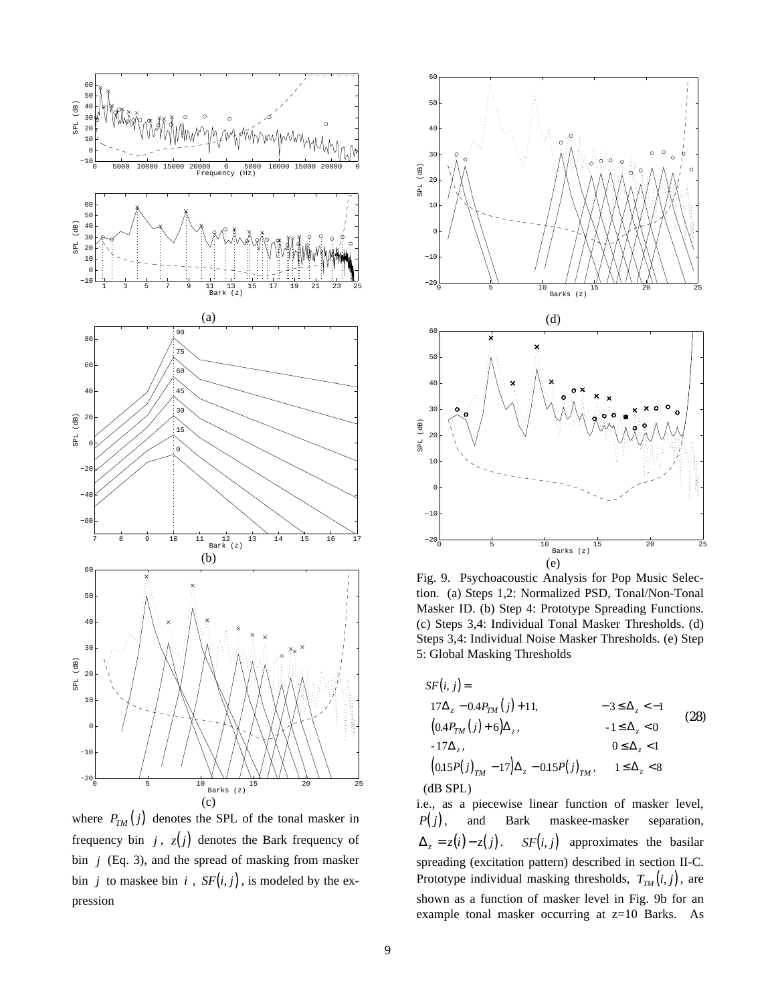

where  $P_{TM}(j)$  denotes the SPL of the tonal masker in frequency bin  $j$ ,  $z(j)$  denotes the Bark frequency of bin  $j$  (Eq. 3), and the spread of masking from masker bin *j* to maskee bin *i*,  $SF(i, j)$ , is modeled by the expression



Fig. 9. Psychoacoustic Analysis for Pop Music Selection. (a) Steps 1,2: Normalized PSD, Tonal/Non-Tonal Masker ID. (b) Step 4: Prototype Spreading Functions. (c) Steps 3,4: Individual Tonal Masker Thresholds. (d) Steps 3,4: Individual Noise Masker Thresholds. (e) Step 5: Global Masking Thresholds

$$
SF(i, j) =
$$
\n
$$
\begin{cases}\n17\Delta_z - 0.4P_{TM}(j) + 11, & -3 \le \Delta_z < -1 \\
(0.4P_{TM}(j) + 6)\Delta_z, & -1 \le \Delta_z < 0 \\
-17\Delta_z, & 0 \le \Delta_z < 1 \\
(0.15P(j)_{TM} - 17)\Delta_z - 0.15P(j)_{TM}, & 1 \le \Delta_z < 8\n\end{cases}
$$
\n(28)

i.e., as a piecewise linear function of masker level,  $P(j)$ , and Bark maskee-masker separation,  $\Delta_z = z(i) - z(j)$ . *SF(i, j)* approximates the basilar spreading (excitation pattern) described in section II-C. Prototype individual masking thresholds,  $T_{\scriptscriptstyle TM}(i,j)$ , are shown as a function of masker level in Fig. 9b for an example tonal masker occurring at z=10 Barks. As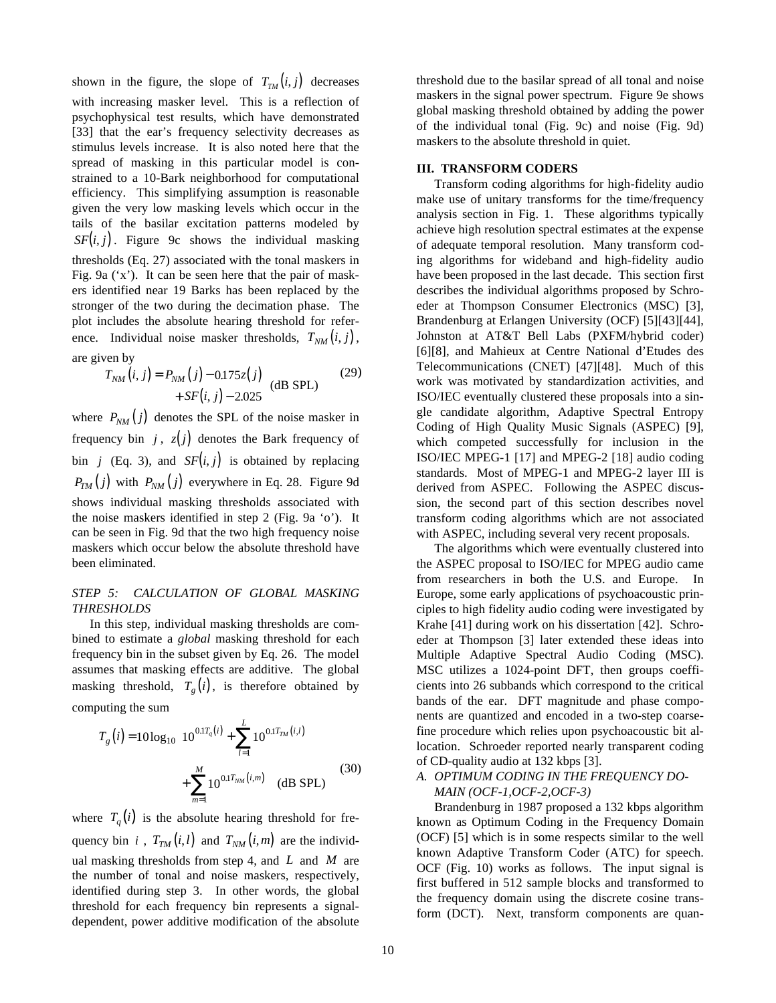shown in the figure, the slope of  $T_{m}(i, j)$  decreases with increasing masker level. This is a reflection of psychophysical test results, which have demonstrated [33] that the ear's frequency selectivity decreases as stimulus levels increase. It is also noted here that the spread of masking in this particular model is constrained to a 10-Bark neighborhood for computational efficiency. This simplifying assumption is reasonable given the very low masking levels which occur in the tails of the basilar excitation patterns modeled by  $SF(i, j)$ . Figure 9c shows the individual masking thresholds (Eq. 27) associated with the tonal maskers in Fig. 9a ('x'). It can be seen here that the pair of maskers identified near 19 Barks has been replaced by the stronger of the two during the decimation phase. The plot includes the absolute hearing threshold for reference. Individual noise masker thresholds,  $T_{NM}(i, j)$ , are given by

$$
T_{NM}(i, j) = P_{NM}(j) - 0.175z(j)
$$
  
+ SF(i, j) - 2.025 (dB SPI.) (29)

where  $P_{NM} (j)$  denotes the SPL of the noise masker in frequency bin  $j$ ,  $z(j)$  denotes the Bark frequency of bin *j* (Eq. 3), and  $SF(i, j)$  is obtained by replacing  $P_{TM}(j)$  with  $P_{NM}(j)$  everywhere in Eq. 28. Figure 9d shows individual masking thresholds associated with the noise maskers identified in step 2 (Fig. 9a 'o'). It can be seen in Fig. 9d that the two high frequency noise maskers which occur below the absolute threshold have been eliminated.

## *STEP 5: CALCULATION OF GLOBAL MASKING THRESHOLDS*

In this step, individual masking thresholds are combined to estimate a *global* masking threshold for each frequency bin in the subset given by Eq. 26. The model assumes that masking effects are additive. The global masking threshold,  $T_g(i)$ , is therefore obtained by computing the sum

$$
T_g(i) = 10\log_{10}\left(10^{0.1T_q(i)} + \sum_{l=1}^{L} 10^{0.1T_{TM}(i,l)} + \sum_{m=1}^{M} 10^{0.1T_{NM}(i,m)}\right) (dB
$$
 SPL) (30)

where  $T_a(i)$  is the absolute hearing threshold for frequency bin *i*,  $T_{TM}(i, l)$  and  $T_{NM}(i, m)$  are the individual masking thresholds from step 4, and *L* and *M* are the number of tonal and noise maskers, respectively, identified during step 3. In other words, the global threshold for each frequency bin represents a signaldependent, power additive modification of the absolute threshold due to the basilar spread of all tonal and noise maskers in the signal power spectrum. Figure 9e shows global masking threshold obtained by adding the power of the individual tonal (Fig. 9c) and noise (Fig. 9d) maskers to the absolute threshold in quiet.

## **III. TRANSFORM CODERS**

Transform coding algorithms for high-fidelity audio make use of unitary transforms for the time/frequency analysis section in Fig. 1. These algorithms typically achieve high resolution spectral estimates at the expense of adequate temporal resolution. Many transform coding algorithms for wideband and high-fidelity audio have been proposed in the last decade. This section first describes the individual algorithms proposed by Schroeder at Thompson Consumer Electronics (MSC) [3], Brandenburg at Erlangen University (OCF) [5][43][44], Johnston at AT&T Bell Labs (PXFM/hybrid coder) [6][8], and Mahieux at Centre National d'Etudes des Telecommunications (CNET) [47][48]. Much of this work was motivated by standardization activities, and ISO/IEC eventually clustered these proposals into a single candidate algorithm, Adaptive Spectral Entropy Coding of High Quality Music Signals (ASPEC) [9], which competed successfully for inclusion in the ISO/IEC MPEG-1 [17] and MPEG-2 [18] audio coding standards. Most of MPEG-1 and MPEG-2 layer III is derived from ASPEC. Following the ASPEC discussion, the second part of this section describes novel transform coding algorithms which are not associated with ASPEC, including several very recent proposals.

The algorithms which were eventually clustered into the ASPEC proposal to ISO/IEC for MPEG audio came from researchers in both the U.S. and Europe. In Europe, some early applications of psychoacoustic principles to high fidelity audio coding were investigated by Krahe [41] during work on his dissertation [42]. Schroeder at Thompson [3] later extended these ideas into Multiple Adaptive Spectral Audio Coding (MSC). MSC utilizes a 1024-point DFT, then groups coefficients into 26 subbands which correspond to the critical bands of the ear. DFT magnitude and phase components are quantized and encoded in a two-step coarsefine procedure which relies upon psychoacoustic bit allocation. Schroeder reported nearly transparent coding of CD-quality audio at 132 kbps [3].

# *A. OPTIMUM CODING IN THE FREQUENCY DO-MAIN (OCF-1,OCF-2,OCF-3)*

Brandenburg in 1987 proposed a 132 kbps algorithm known as Optimum Coding in the Frequency Domain (OCF) [5] which is in some respects similar to the well known Adaptive Transform Coder (ATC) for speech. OCF (Fig. 10) works as follows. The input signal is first buffered in 512 sample blocks and transformed to the frequency domain using the discrete cosine transform (DCT). Next, transform components are quan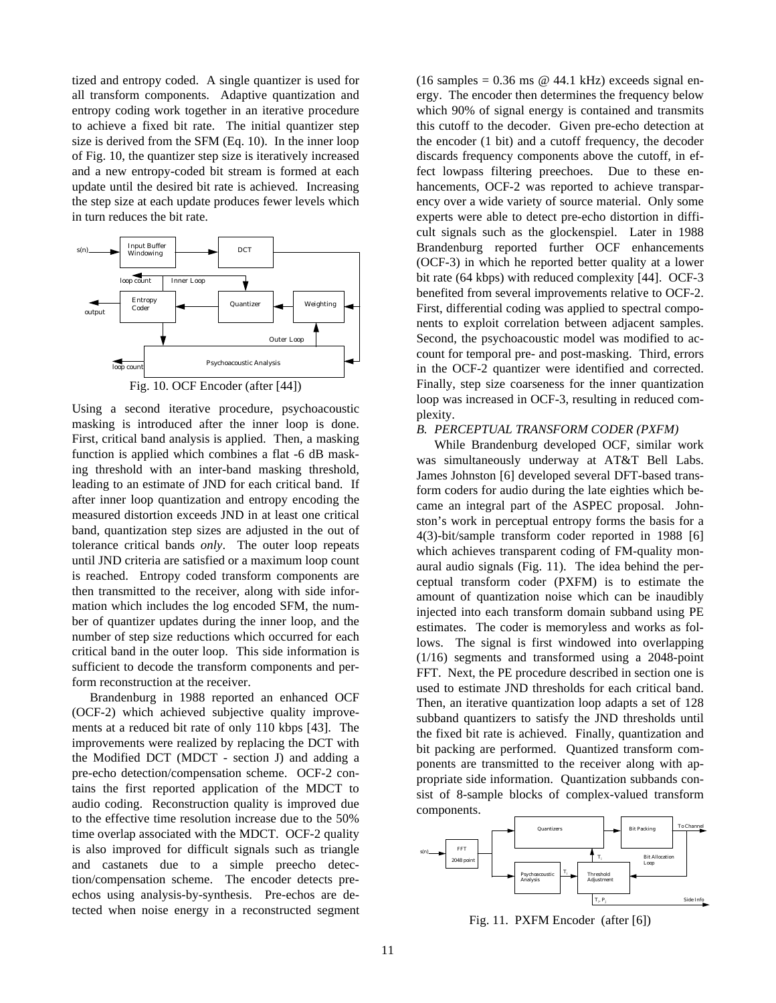tized and entropy coded. A single quantizer is used for all transform components. Adaptive quantization and entropy coding work together in an iterative procedure to achieve a fixed bit rate. The initial quantizer step size is derived from the SFM (Eq. 10). In the inner loop of Fig. 10, the quantizer step size is iteratively increased and a new entropy-coded bit stream is formed at each update until the desired bit rate is achieved. Increasing the step size at each update produces fewer levels which in turn reduces the bit rate.



Using a second iterative procedure, psychoacoustic masking is introduced after the inner loop is done. First, critical band analysis is applied. Then, a masking function is applied which combines a flat -6 dB masking threshold with an inter-band masking threshold, leading to an estimate of JND for each critical band. If after inner loop quantization and entropy encoding the measured distortion exceeds JND in at least one critical band, quantization step sizes are adjusted in the out of tolerance critical bands *only*. The outer loop repeats until JND criteria are satisfied or a maximum loop count is reached. Entropy coded transform components are then transmitted to the receiver, along with side information which includes the log encoded SFM, the number of quantizer updates during the inner loop, and the number of step size reductions which occurred for each critical band in the outer loop. This side information is sufficient to decode the transform components and perform reconstruction at the receiver.

Brandenburg in 1988 reported an enhanced OCF (OCF-2) which achieved subjective quality improvements at a reduced bit rate of only 110 kbps [43]. The improvements were realized by replacing the DCT with the Modified DCT (MDCT - section J) and adding a pre-echo detection/compensation scheme. OCF-2 contains the first reported application of the MDCT to audio coding. Reconstruction quality is improved due to the effective time resolution increase due to the 50% time overlap associated with the MDCT. OCF-2 quality is also improved for difficult signals such as triangle and castanets due to a simple preecho detection/compensation scheme. The encoder detects preechos using analysis-by-synthesis. Pre-echos are detected when noise energy in a reconstructed segment  $(16 \text{ samples} = 0.36 \text{ ms} \space \textcircled{a} 44.1 \text{ kHz})$  exceeds signal energy. The encoder then determines the frequency below which 90% of signal energy is contained and transmits this cutoff to the decoder. Given pre-echo detection at the encoder (1 bit) and a cutoff frequency, the decoder discards frequency components above the cutoff, in effect lowpass filtering preechoes. Due to these enhancements, OCF-2 was reported to achieve transparency over a wide variety of source material. Only some experts were able to detect pre-echo distortion in difficult signals such as the glockenspiel. Later in 1988 Brandenburg reported further OCF enhancements (OCF-3) in which he reported better quality at a lower bit rate (64 kbps) with reduced complexity [44]. OCF-3 benefited from several improvements relative to OCF-2. First, differential coding was applied to spectral components to exploit correlation between adjacent samples. Second, the psychoacoustic model was modified to account for temporal pre- and post-masking. Third, errors in the OCF-2 quantizer were identified and corrected. Finally, step size coarseness for the inner quantization loop was increased in OCF-3, resulting in reduced complexity.

#### *B. PERCEPTUAL TRANSFORM CODER (PXFM)*

While Brandenburg developed OCF, similar work was simultaneously underway at AT&T Bell Labs. James Johnston [6] developed several DFT-based transform coders for audio during the late eighties which became an integral part of the ASPEC proposal. Johnston's work in perceptual entropy forms the basis for a 4(3)-bit/sample transform coder reported in 1988 [6] which achieves transparent coding of FM-quality monaural audio signals (Fig. 11). The idea behind the perceptual transform coder (PXFM) is to estimate the amount of quantization noise which can be inaudibly injected into each transform domain subband using PE estimates. The coder is memoryless and works as follows. The signal is first windowed into overlapping (1/16) segments and transformed using a 2048-point FFT. Next, the PE procedure described in section one is used to estimate JND thresholds for each critical band. Then, an iterative quantization loop adapts a set of 128 subband quantizers to satisfy the JND thresholds until the fixed bit rate is achieved. Finally, quantization and bit packing are performed. Quantized transform components are transmitted to the receiver along with appropriate side information. Quantization subbands consist of 8-sample blocks of complex-valued transform components.



Fig. 11. PXFM Encoder (after [6])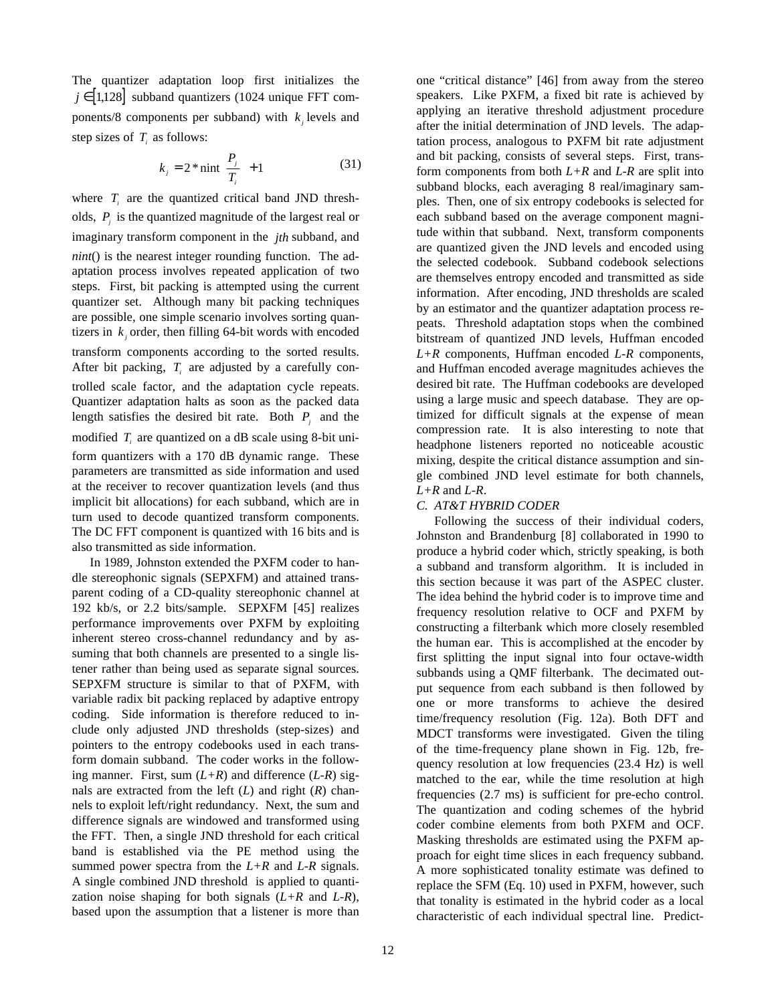The quantizer adaptation loop first initializes the  $j \in [1,128]$  subband quantizers (1024 unique FFT components/8 components per subband) with  $k_i$  levels and step sizes of  $T_i$  as follows:

$$
k_j = 2 * \min\left(\frac{P_j}{T_i}\right) + 1\tag{31}
$$

where  $T<sub>i</sub>$  are the quantized critical band JND thresholds,  $P_i$  is the quantized magnitude of the largest real or imaginary transform component in the *jth* subband, and *nint*() is the nearest integer rounding function. The adaptation process involves repeated application of two steps. First, bit packing is attempted using the current quantizer set. Although many bit packing techniques are possible, one simple scenario involves sorting quantizers in  $k_i$  order, then filling 64-bit words with encoded transform components according to the sorted results. After bit packing,  $T<sub>i</sub>$  are adjusted by a carefully controlled scale factor, and the adaptation cycle repeats. Quantizer adaptation halts as soon as the packed data length satisfies the desired bit rate. Both  $P_i$  and the modified  $T<sub>i</sub>$  are quantized on a dB scale using 8-bit uniform quantizers with a 170 dB dynamic range. These parameters are transmitted as side information and used at the receiver to recover quantization levels (and thus implicit bit allocations) for each subband, which are in turn used to decode quantized transform components. The DC FFT component is quantized with 16 bits and is also transmitted as side information.

In 1989, Johnston extended the PXFM coder to handle stereophonic signals (SEPXFM) and attained transparent coding of a CD-quality stereophonic channel at 192 kb/s, or 2.2 bits/sample. SEPXFM [45] realizes performance improvements over PXFM by exploiting inherent stereo cross-channel redundancy and by assuming that both channels are presented to a single listener rather than being used as separate signal sources. SEPXFM structure is similar to that of PXFM, with variable radix bit packing replaced by adaptive entropy coding. Side information is therefore reduced to include only adjusted JND thresholds (step-sizes) and pointers to the entropy codebooks used in each transform domain subband. The coder works in the following manner. First, sum  $(L+R)$  and difference  $(L-R)$  signals are extracted from the left (*L*) and right (*R*) channels to exploit left/right redundancy. Next, the sum and difference signals are windowed and transformed using the FFT. Then, a single JND threshold for each critical band is established via the PE method using the summed power spectra from the *L+R* and *L-R* signals. A single combined JND threshold is applied to quantization noise shaping for both signals (*L+R* and *L-R*), based upon the assumption that a listener is more than one "critical distance" [46] from away from the stereo speakers. Like PXFM, a fixed bit rate is achieved by applying an iterative threshold adjustment procedure after the initial determination of JND levels. The adaptation process, analogous to PXFM bit rate adjustment and bit packing, consists of several steps. First, transform components from both *L+R* and *L-R* are split into subband blocks, each averaging 8 real/imaginary samples. Then, one of six entropy codebooks is selected for each subband based on the average component magnitude within that subband. Next, transform components are quantized given the JND levels and encoded using the selected codebook. Subband codebook selections are themselves entropy encoded and transmitted as side information. After encoding, JND thresholds are scaled by an estimator and the quantizer adaptation process repeats. Threshold adaptation stops when the combined bitstream of quantized JND levels, Huffman encoded *L+R* components, Huffman encoded *L-R* components, and Huffman encoded average magnitudes achieves the desired bit rate. The Huffman codebooks are developed using a large music and speech database. They are optimized for difficult signals at the expense of mean compression rate. It is also interesting to note that headphone listeners reported no noticeable acoustic mixing, despite the critical distance assumption and single combined JND level estimate for both channels, *L+R* and *L-R*.

# *C. AT&T HYBRID CODER*

Following the success of their individual coders, Johnston and Brandenburg [8] collaborated in 1990 to produce a hybrid coder which, strictly speaking, is both a subband and transform algorithm. It is included in this section because it was part of the ASPEC cluster. The idea behind the hybrid coder is to improve time and frequency resolution relative to OCF and PXFM by constructing a filterbank which more closely resembled the human ear. This is accomplished at the encoder by first splitting the input signal into four octave-width subbands using a QMF filterbank. The decimated output sequence from each subband is then followed by one or more transforms to achieve the desired time/frequency resolution (Fig. 12a). Both DFT and MDCT transforms were investigated. Given the tiling of the time-frequency plane shown in Fig. 12b, frequency resolution at low frequencies (23.4 Hz) is well matched to the ear, while the time resolution at high frequencies (2.7 ms) is sufficient for pre-echo control. The quantization and coding schemes of the hybrid coder combine elements from both PXFM and OCF. Masking thresholds are estimated using the PXFM approach for eight time slices in each frequency subband. A more sophisticated tonality estimate was defined to replace the SFM (Eq. 10) used in PXFM, however, such that tonality is estimated in the hybrid coder as a local characteristic of each individual spectral line. Predict-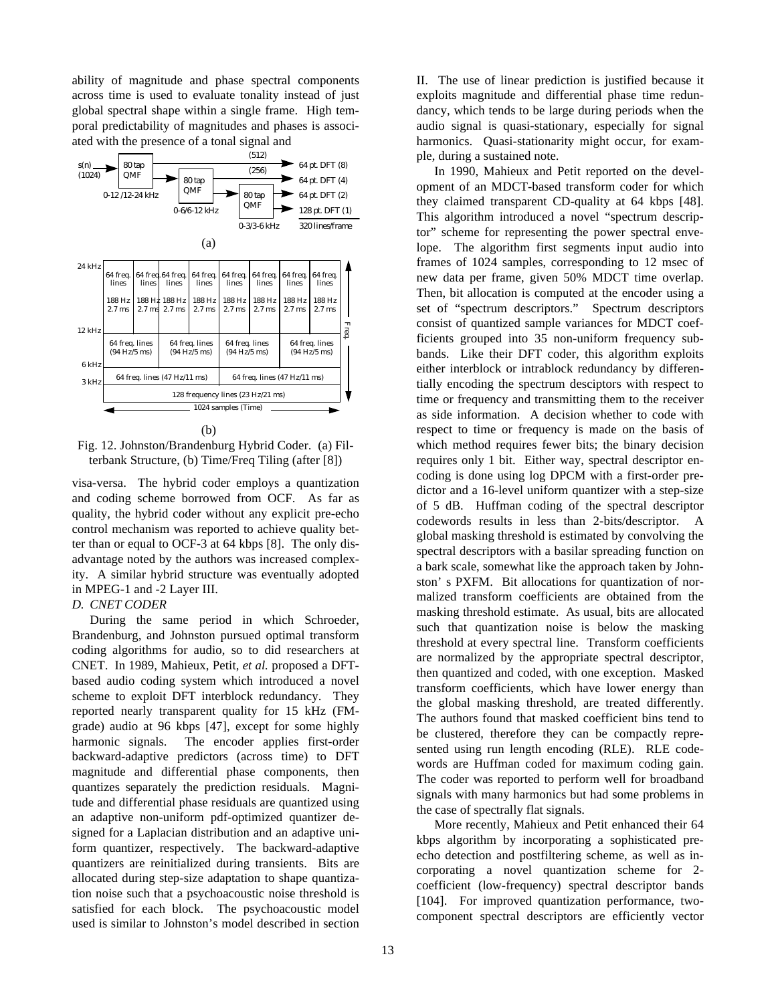ability of magnitude and phase spectral components across time is used to evaluate tonality instead of just global spectral shape within a single frame. High temporal predictability of magnitudes and phases is associated with the presence of a tonal signal and



(b)

Fig. 12. Johnston/Brandenburg Hybrid Coder. (a) Filterbank Structure, (b) Time/Freq Tiling (after [8])

visa-versa. The hybrid coder employs a quantization and coding scheme borrowed from OCF. As far as quality, the hybrid coder without any explicit pre-echo control mechanism was reported to achieve quality better than or equal to OCF-3 at 64 kbps [8]. The only disadvantage noted by the authors was increased complexity. A similar hybrid structure was eventually adopted in MPEG-1 and -2 Layer III.

# *D. CNET CODER*

During the same period in which Schroeder, Brandenburg, and Johnston pursued optimal transform coding algorithms for audio, so to did researchers at CNET. In 1989, Mahieux, Petit, *et al.* proposed a DFTbased audio coding system which introduced a novel scheme to exploit DFT interblock redundancy. They reported nearly transparent quality for 15 kHz (FMgrade) audio at 96 kbps [47], except for some highly harmonic signals. The encoder applies first-order backward-adaptive predictors (across time) to DFT magnitude and differential phase components, then quantizes separately the prediction residuals. Magnitude and differential phase residuals are quantized using an adaptive non-uniform pdf-optimized quantizer designed for a Laplacian distribution and an adaptive uniform quantizer, respectively. The backward-adaptive quantizers are reinitialized during transients. Bits are allocated during step-size adaptation to shape quantization noise such that a psychoacoustic noise threshold is satisfied for each block. The psychoacoustic model used is similar to Johnston's model described in section

II. The use of linear prediction is justified because it exploits magnitude and differential phase time redundancy, which tends to be large during periods when the audio signal is quasi-stationary, especially for signal harmonics. Quasi-stationarity might occur, for example, during a sustained note.

In 1990, Mahieux and Petit reported on the development of an MDCT-based transform coder for which they claimed transparent CD-quality at 64 kbps [48]. This algorithm introduced a novel "spectrum descriptor" scheme for representing the power spectral envelope. The algorithm first segments input audio into frames of 1024 samples, corresponding to 12 msec of new data per frame, given 50% MDCT time overlap. Then, bit allocation is computed at the encoder using a set of "spectrum descriptors." Spectrum descriptors consist of quantized sample variances for MDCT coefficients grouped into 35 non-uniform frequency subbands. Like their DFT coder, this algorithm exploits either interblock or intrablock redundancy by differentially encoding the spectrum desciptors with respect to time or frequency and transmitting them to the receiver as side information. A decision whether to code with respect to time or frequency is made on the basis of which method requires fewer bits; the binary decision requires only 1 bit. Either way, spectral descriptor encoding is done using log DPCM with a first-order predictor and a 16-level uniform quantizer with a step-size of 5 dB. Huffman coding of the spectral descriptor codewords results in less than 2-bits/descriptor. A global masking threshold is estimated by convolving the spectral descriptors with a basilar spreading function on a bark scale, somewhat like the approach taken by Johnston' s PXFM. Bit allocations for quantization of normalized transform coefficients are obtained from the masking threshold estimate. As usual, bits are allocated such that quantization noise is below the masking threshold at every spectral line. Transform coefficients are normalized by the appropriate spectral descriptor, then quantized and coded, with one exception. Masked transform coefficients, which have lower energy than the global masking threshold, are treated differently. The authors found that masked coefficient bins tend to be clustered, therefore they can be compactly represented using run length encoding (RLE). RLE codewords are Huffman coded for maximum coding gain. The coder was reported to perform well for broadband signals with many harmonics but had some problems in the case of spectrally flat signals.

More recently, Mahieux and Petit enhanced their 64 kbps algorithm by incorporating a sophisticated preecho detection and postfiltering scheme, as well as incorporating a novel quantization scheme for 2 coefficient (low-frequency) spectral descriptor bands [104]. For improved quantization performance, twocomponent spectral descriptors are efficiently vector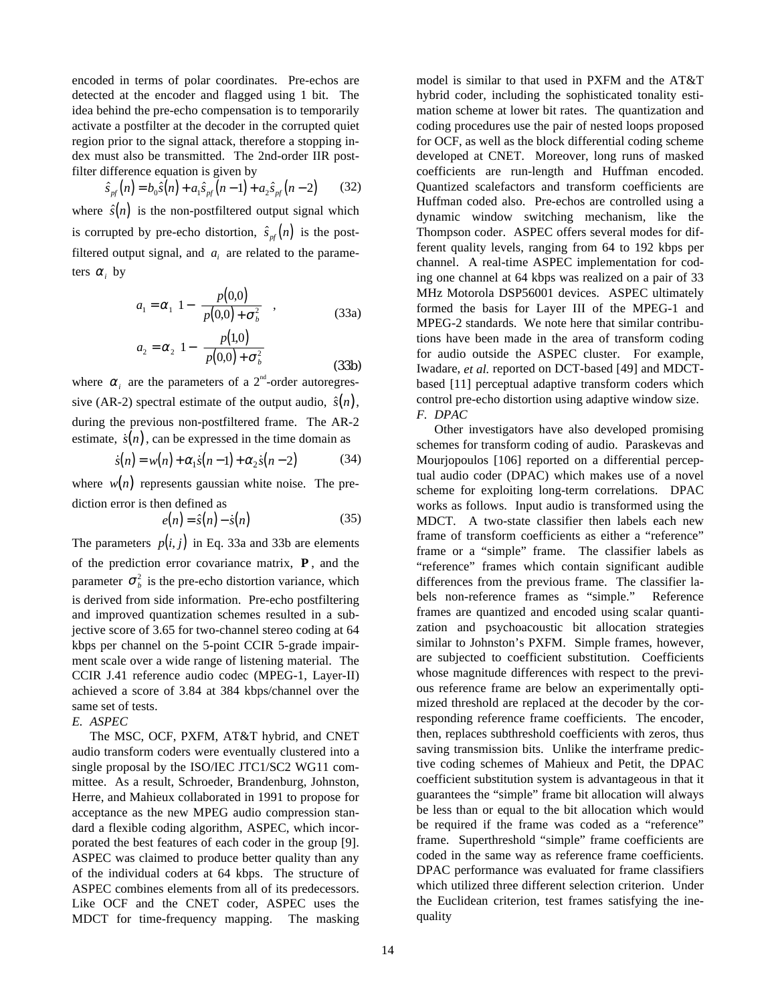encoded in terms of polar coordinates. Pre-echos are detected at the encoder and flagged using 1 bit. The idea behind the pre-echo compensation is to temporarily activate a postfilter at the decoder in the corrupted quiet region prior to the signal attack, therefore a stopping index must also be transmitted. The 2nd-order IIR postfilter difference equation is given by prior to the signal attack, therefore a stopping in-<br>ust also be transmitted. The 2nd-order IIR post-<br>ifference equation is given by<br> $\hat{s}_{pf}(n) = b_0 \hat{s}(n) + a_1 \hat{s}_{pf}(n-1) + a_2 \hat{s}_{pf}(n-2)$  (32)

$$
\hat{s}_{pf}(n) = b_0 \hat{s}(n) + a_1 \hat{s}_{pf}(n-1) + a_2 \hat{s}_{pf}(n-2)
$$
 (32)

where  $\hat{s}(n)$  is the non-postfiltered output signal which  $\hat{s}_{pf}(n) = b_0 \hat{s}(n) + a_1 \hat{s}_{pf}(n-1) + a_2 \hat{s}_{pf}(n-2)$  (32)<br>where  $\hat{s}(n)$  is the non-postfiltered output signal which<br>is corrupted by pre-echo distortion,  $\hat{s}_{pf}(n)$  is the postfiltered output signal, and  $a_i$  are related to the parameters  $\alpha_i$  by

$$
a_1 = \alpha_1 \left[ 1 - \left( \frac{p(0,0)}{p(0,0) + \sigma_b^2} \right) \right],
$$
\n(33a)  
\n
$$
a_2 = \alpha_2 \left[ 1 - \left( \frac{p(1,0)}{p(0,0) + \sigma_b^2} \right) \right]
$$
\n(33b)

where  $\alpha_i$  are the parameters of a 2<sup>nd</sup>-order autoregreswhere  $\alpha_i$  are the parameters of a 2<sup>nd</sup>-order autoregressive (AR-2) spectral estimate of the output audio,  $\hat{s}(n)$ , during the previous non-postfiltered frame. The AR-2 sive  $(AR-2)$  s<br>during the pr<br>estimate,  $s(n)$ estimate,  $s(n)$ , can be expressed in the time domain as the previous non-postfiltered fraction space of the space of  $s(n) = w(n) + \alpha_1 s(n-1) + \alpha_2 s(n)$ -<br>|<br>|-

$$
s(n) = w(n) + \alpha_1 s(n-1) + \alpha_2 s(n-2)
$$
 (34)

where *w*(*n*) represents gaussian white noise. The prediction error is then defined as<br>  $e(n) = \hat{s}(n) - \hat{s}(n)$  (35) diction error is then defined as

$$
e(n) = \hat{s}(n) - s(n) \tag{35}
$$

The parameters  $p(i, j)$  in Eq. 33a and 33b are elements of the prediction error covariance matrix, **P** , and the parameter  $\sigma_b^2$  is the pre-echo distortion variance, which is derived from side information. Pre-echo postfiltering and improved quantization schemes resulted in a subjective score of 3.65 for two-channel stereo coding at 64 kbps per channel on the 5-point CCIR 5-grade impairment scale over a wide range of listening material. The CCIR J.41 reference audio codec (MPEG-1, Layer-II) achieved a score of 3.84 at 384 kbps/channel over the same set of tests.

*E. ASPEC*

The MSC, OCF, PXFM, AT&T hybrid, and CNET audio transform coders were eventually clustered into a single proposal by the ISO/IEC JTC1/SC2 WG11 committee. As a result, Schroeder, Brandenburg, Johnston, Herre, and Mahieux collaborated in 1991 to propose for acceptance as the new MPEG audio compression standard a flexible coding algorithm, ASPEC, which incorporated the best features of each coder in the group [9]. ASPEC was claimed to produce better quality than any of the individual coders at 64 kbps. The structure of ASPEC combines elements from all of its predecessors. Like OCF and the CNET coder, ASPEC uses the MDCT for time-frequency mapping. The masking

model is similar to that used in PXFM and the AT&T hybrid coder, including the sophisticated tonality estimation scheme at lower bit rates. The quantization and coding procedures use the pair of nested loops proposed for OCF, as well as the block differential coding scheme developed at CNET. Moreover, long runs of masked coefficients are run-length and Huffman encoded. Quantized scalefactors and transform coefficients are Huffman coded also. Pre-echos are controlled using a dynamic window switching mechanism, like the Thompson coder. ASPEC offers several modes for different quality levels, ranging from 64 to 192 kbps per channel. A real-time ASPEC implementation for coding one channel at 64 kbps was realized on a pair of 33 MHz Motorola DSP56001 devices. ASPEC ultimately formed the basis for Layer III of the MPEG-1 and MPEG-2 standards. We note here that similar contributions have been made in the area of transform coding for audio outside the ASPEC cluster. For example, Iwadare, *et al.* reported on DCT-based [49] and MDCTbased [11] perceptual adaptive transform coders which control pre-echo distortion using adaptive window size. *F. DPAC*

Other investigators have also developed promising schemes for transform coding of audio. Paraskevas and Mourjopoulos [106] reported on a differential perceptual audio coder (DPAC) which makes use of a novel scheme for exploiting long-term correlations. DPAC works as follows. Input audio is transformed using the MDCT. A two-state classifier then labels each new frame of transform coefficients as either a "reference" frame or a "simple" frame. The classifier labels as "reference" frames which contain significant audible differences from the previous frame. The classifier labels non-reference frames as "simple." Reference frames are quantized and encoded using scalar quantization and psychoacoustic bit allocation strategies similar to Johnston's PXFM. Simple frames, however, are subjected to coefficient substitution. Coefficients whose magnitude differences with respect to the previous reference frame are below an experimentally optimized threshold are replaced at the decoder by the corresponding reference frame coefficients. The encoder, then, replaces subthreshold coefficients with zeros, thus saving transmission bits. Unlike the interframe predictive coding schemes of Mahieux and Petit, the DPAC coefficient substitution system is advantageous in that it guarantees the "simple" frame bit allocation will always be less than or equal to the bit allocation which would be required if the frame was coded as a "reference" frame. Superthreshold "simple" frame coefficients are coded in the same way as reference frame coefficients. DPAC performance was evaluated for frame classifiers which utilized three different selection criterion. Under the Euclidean criterion, test frames satisfying the inequality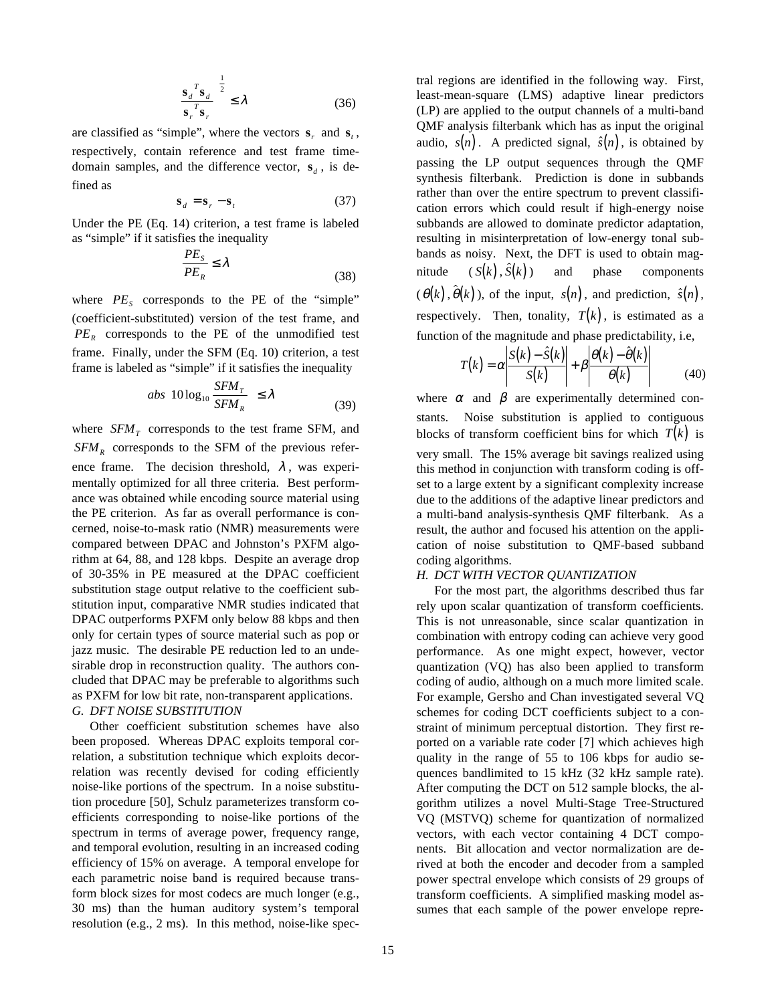$$
\left[\frac{\mathbf{s}_d^T \mathbf{s}_d}{\mathbf{s}_r^T \mathbf{s}_r}\right]^{\frac{1}{2}} \le \lambda \tag{36}
$$

are classified as "simple", where the vectors  $s_r$  and  $s_t$ , respectively, contain reference and test frame timedomain samples, and the difference vector,  $\mathbf{s}_d$ , is defined as

$$
\mathbf{s}_d = \mathbf{s}_r - \mathbf{s}_t \tag{37}
$$

Under the PE (Eq. 14) criterion, a test frame is labeled as "simple" if it satisfies the inequality

$$
\frac{PE_s}{PE_R} \le \lambda \tag{38}
$$

where  $PE<sub>s</sub>$  corresponds to the PE of the "simple" (coefficient-substituted) version of the test frame, and  $PE<sub>R</sub>$  corresponds to the PE of the unmodified test frame. Finally, under the SFM (Eq. 10) criterion, a test frame is labeled as "simple" if it satisfies the inequality

$$
abs\left(10\log_{10}\frac{SFM_T}{SFM_R}\right) \le \lambda \tag{39}
$$

where  $SFM<sub>T</sub>$  corresponds to the test frame SFM, and  $SFM<sub>R</sub>$  corresponds to the SFM of the previous reference frame. The decision threshold,  $\lambda$ , was experimentally optimized for all three criteria. Best performance was obtained while encoding source material using the PE criterion. As far as overall performance is concerned, noise-to-mask ratio (NMR) measurements were compared between DPAC and Johnston's PXFM algorithm at 64, 88, and 128 kbps. Despite an average drop of 30-35% in PE measured at the DPAC coefficient substitution stage output relative to the coefficient substitution input, comparative NMR studies indicated that DPAC outperforms PXFM only below 88 kbps and then only for certain types of source material such as pop or jazz music. The desirable PE reduction led to an undesirable drop in reconstruction quality. The authors concluded that DPAC may be preferable to algorithms such as PXFM for low bit rate, non-transparent applications. *G. DFT NOISE SUBSTITUTION*

Other coefficient substitution schemes have also been proposed. Whereas DPAC exploits temporal correlation, a substitution technique which exploits decorrelation was recently devised for coding efficiently noise-like portions of the spectrum. In a noise substitution procedure [50], Schulz parameterizes transform coefficients corresponding to noise-like portions of the spectrum in terms of average power, frequency range, and temporal evolution, resulting in an increased coding efficiency of 15% on average. A temporal envelope for each parametric noise band is required because transform block sizes for most codecs are much longer (e.g., 30 ms) than the human auditory system's temporal resolution (e.g., 2 ms). In this method, noise-like spectral regions are identified in the following way. First, least-mean-square (LMS) adaptive linear predictors (LP) are applied to the output channels of a multi-band QMF analysis filterbank which has as input the original least-mean-square (LMS) adaptive linear predictors<br>(LP) are applied to the output channels of a multi-band<br>QMF analysis filterbank which has as input the original<br>audio,  $s(n)$ . A predicted signal,  $\hat{s}(n)$ , is obtained by passing the LP output sequences through the QMF synthesis filterbank. Prediction is done in subbands rather than over the entire spectrum to prevent classification errors which could result if high-energy noise subbands are allowed to dominate predictor adaptation, resulting in misinterpretation of low-energy tonal subbands as noisy. Next, the DFT is used to obtain magsubbands are allowed<br>resulting in misinterp<br>bands as noisy. Nex<br>nitude  $(s(k), \hat{s}(k))$  $(S(k), S(k))$  and phase components bands as noisy. Next, the DFT is used to obtain mag-<br>nitude  $(S(k), \hat{S}(k))$  and phase components<br> $(\theta(k), \hat{\theta}(k))$ , of the input,  $s(n)$ , and prediction,  $\hat{s}(n)$ , respectively. Then, tonality,  $T(k)$ , is estimated as a function of the magnitude and phase predictability, i.e,  $|S(k) - \hat{S}(k)| = |A(k) - \hat{A}(k)|$ function of the magnitude and phase predictability, i.e,

$$
T(k) = \alpha \left| \frac{S(k) - \hat{S}(k)}{S(k)} \right| + \beta \left| \frac{\theta(k) - \hat{\theta}(k)}{\theta(k)} \right| \tag{40}
$$

where  $\alpha$  and  $\beta$  are experimentally determined constants. Noise substitution is applied to contiguous blocks of transform coefficient bins for which  $T(k)$  is very small. The 15% average bit savings realized using this method in conjunction with transform coding is offset to a large extent by a significant complexity increase due to the additions of the adaptive linear predictors and a multi-band analysis-synthesis QMF filterbank. As a result, the author and focused his attention on the application of noise substitution to QMF-based subband coding algorithms.

#### *H. DCT WITH VECTOR QUANTIZATION*

For the most part, the algorithms described thus far rely upon scalar quantization of transform coefficients. This is not unreasonable, since scalar quantization in combination with entropy coding can achieve very good performance. As one might expect, however, vector quantization (VQ) has also been applied to transform coding of audio, although on a much more limited scale. For example, Gersho and Chan investigated several VQ schemes for coding DCT coefficients subject to a constraint of minimum perceptual distortion. They first reported on a variable rate coder [7] which achieves high quality in the range of 55 to 106 kbps for audio sequences bandlimited to 15 kHz (32 kHz sample rate). After computing the DCT on 512 sample blocks, the algorithm utilizes a novel Multi-Stage Tree-Structured VQ (MSTVQ) scheme for quantization of normalized vectors, with each vector containing 4 DCT components. Bit allocation and vector normalization are derived at both the encoder and decoder from a sampled power spectral envelope which consists of 29 groups of transform coefficients. A simplified masking model assumes that each sample of the power envelope repre-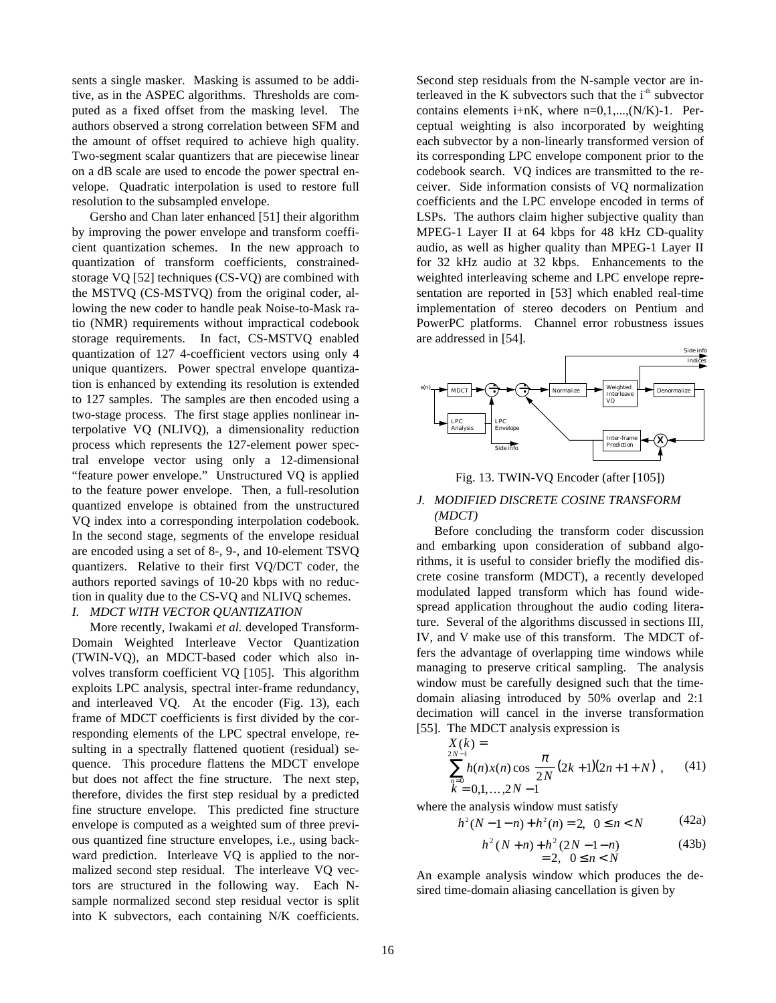sents a single masker. Masking is assumed to be additive, as in the ASPEC algorithms. Thresholds are computed as a fixed offset from the masking level. The authors observed a strong correlation between SFM and the amount of offset required to achieve high quality. Two-segment scalar quantizers that are piecewise linear on a dB scale are used to encode the power spectral envelope. Quadratic interpolation is used to restore full resolution to the subsampled envelope.

Gersho and Chan later enhanced [51] their algorithm by improving the power envelope and transform coefficient quantization schemes. In the new approach to quantization of transform coefficients, constrainedstorage VQ [52] techniques (CS-VQ) are combined with the MSTVQ (CS-MSTVQ) from the original coder, allowing the new coder to handle peak Noise-to-Mask ratio (NMR) requirements without impractical codebook storage requirements. In fact, CS-MSTVQ enabled quantization of 127 4-coefficient vectors using only 4 unique quantizers. Power spectral envelope quantization is enhanced by extending its resolution is extended to 127 samples. The samples are then encoded using a two-stage process. The first stage applies nonlinear interpolative VQ (NLIVQ), a dimensionality reduction process which represents the 127-element power spectral envelope vector using only a 12-dimensional "feature power envelope." Unstructured VQ is applied to the feature power envelope. Then, a full-resolution quantized envelope is obtained from the unstructured VQ index into a corresponding interpolation codebook. In the second stage, segments of the envelope residual are encoded using a set of 8-, 9-, and 10-element TSVQ quantizers. Relative to their first VQ/DCT coder, the authors reported savings of 10-20 kbps with no reduction in quality due to the CS-VQ and NLIVQ schemes.

## *I. MDCT WITH VECTOR QUANTIZATION*

More recently, Iwakami *et al.* developed Transform-Domain Weighted Interleave Vector Quantization (TWIN-VQ), an MDCT-based coder which also involves transform coefficient VQ [105]. This algorithm exploits LPC analysis, spectral inter-frame redundancy, and interleaved VQ. At the encoder (Fig. 13), each frame of MDCT coefficients is first divided by the corresponding elements of the LPC spectral envelope, resulting in a spectrally flattened quotient (residual) sequence. This procedure flattens the MDCT envelope but does not affect the fine structure. The next step, therefore, divides the first step residual by a predicted fine structure envelope. This predicted fine structure envelope is computed as a weighted sum of three previous quantized fine structure envelopes, i.e., using backward prediction. Interleave VQ is applied to the normalized second step residual. The interleave VQ vectors are structured in the following way. Each Nsample normalized second step residual vector is split into K subvectors, each containing N/K coefficients.

Second step residuals from the N-sample vector are interleaved in the K subvectors such that the  $i<sup>th</sup>$  subvector contains elements i+nK, where  $n=0,1,...,(N/K)-1$ . Perceptual weighting is also incorporated by weighting each subvector by a non-linearly transformed version of its corresponding LPC envelope component prior to the codebook search. VQ indices are transmitted to the receiver. Side information consists of VQ normalization coefficients and the LPC envelope encoded in terms of LSPs. The authors claim higher subjective quality than MPEG-1 Layer II at 64 kbps for 48 kHz CD-quality audio, as well as higher quality than MPEG-1 Layer II for 32 kHz audio at 32 kbps. Enhancements to the weighted interleaving scheme and LPC envelope representation are reported in [53] which enabled real-time implementation of stereo decoders on Pentium and PowerPC platforms. Channel error robustness issues are addressed in [54].



Fig. 13. TWIN-VQ Encoder (after [105])

#### *J. MODIFIED DISCRETE COSINE TRANSFORM (MDCT)*

Before concluding the transform coder discussion and embarking upon consideration of subband algorithms, it is useful to consider briefly the modified discrete cosine transform (MDCT), a recently developed modulated lapped transform which has found widespread application throughout the audio coding literature. Several of the algorithms discussed in sections III, IV, and V make use of this transform. The MDCT offers the advantage of overlapping time windows while managing to preserve critical sampling. The analysis window must be carefully designed such that the timedomain aliasing introduced by 50% overlap and 2:1 decimation will cancel in the inverse transformation [55]. The MDCT analysis expression is

$$
\begin{aligned}\nX(k) &= \\
\sum_{\substack{n=0 \ k=0,1,\ldots,2N-1}}^{2N-1} h(n)x(n) \cos\left[\frac{\pi}{2N}(2k+1)(2n+1+N)\right],\n\end{aligned} \tag{41}
$$

where the analysis window must satisfy

$$
h^{2}(N-1-n) + h^{2}(n) = 2, \ \ 0 \le n < N \tag{42a}
$$

$$
h2(N+n) + h2(2N-1-n)
$$
 (43b)  
= 2, 0 \le n < N

An example analysis window which produces the desired time-domain aliasing cancellation is given by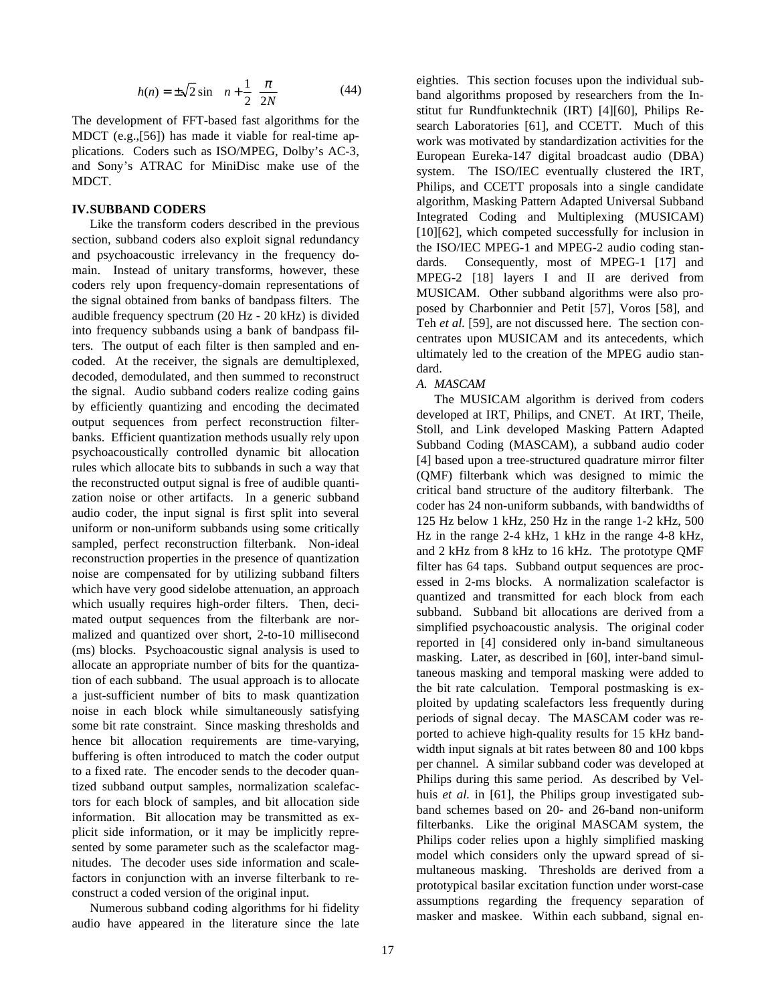$$
h(n) = \pm \sqrt{2} \sin \left[ \left( n + \frac{1}{2} \right) \frac{\pi}{2N} \right]
$$
 (44)

The development of FFT-based fast algorithms for the MDCT (e.g.,[56]) has made it viable for real-time applications. Coders such as ISO/MPEG, Dolby's AC-3, and Sony's ATRAC for MiniDisc make use of the MDCT.

#### **IV. SUBBAND CODERS**

Like the transform coders described in the previous section, subband coders also exploit signal redundancy and psychoacoustic irrelevancy in the frequency domain. Instead of unitary transforms, however, these coders rely upon frequency-domain representations of the signal obtained from banks of bandpass filters. The audible frequency spectrum (20 Hz - 20 kHz) is divided into frequency subbands using a bank of bandpass filters. The output of each filter is then sampled and encoded. At the receiver, the signals are demultiplexed, decoded, demodulated, and then summed to reconstruct the signal. Audio subband coders realize coding gains by efficiently quantizing and encoding the decimated output sequences from perfect reconstruction filterbanks. Efficient quantization methods usually rely upon psychoacoustically controlled dynamic bit allocation rules which allocate bits to subbands in such a way that the reconstructed output signal is free of audible quantization noise or other artifacts. In a generic subband audio coder, the input signal is first split into several uniform or non-uniform subbands using some critically sampled, perfect reconstruction filterbank. Non-ideal reconstruction properties in the presence of quantization noise are compensated for by utilizing subband filters which have very good sidelobe attenuation, an approach which usually requires high-order filters. Then, decimated output sequences from the filterbank are normalized and quantized over short, 2-to-10 millisecond (ms) blocks. Psychoacoustic signal analysis is used to allocate an appropriate number of bits for the quantization of each subband. The usual approach is to allocate a just-sufficient number of bits to mask quantization noise in each block while simultaneously satisfying some bit rate constraint. Since masking thresholds and hence bit allocation requirements are time-varying, buffering is often introduced to match the coder output to a fixed rate. The encoder sends to the decoder quantized subband output samples, normalization scalefactors for each block of samples, and bit allocation side information. Bit allocation may be transmitted as explicit side information, or it may be implicitly represented by some parameter such as the scalefactor magnitudes. The decoder uses side information and scalefactors in conjunction with an inverse filterbank to reconstruct a coded version of the original input.

Numerous subband coding algorithms for hi fidelity audio have appeared in the literature since the late

eighties. This section focuses upon the individual subband algorithms proposed by researchers from the Institut fur Rundfunktechnik (IRT) [4][60], Philips Research Laboratories [61], and CCETT. Much of this work was motivated by standardization activities for the European Eureka-147 digital broadcast audio (DBA) system. The ISO/IEC eventually clustered the IRT, Philips, and CCETT proposals into a single candidate algorithm, Masking Pattern Adapted Universal Subband Integrated Coding and Multiplexing (MUSICAM) [10][62], which competed successfully for inclusion in the ISO/IEC MPEG-1 and MPEG-2 audio coding standards. Consequently, most of MPEG-1 [17] and MPEG-2 [18] layers I and II are derived from MUSICAM. Other subband algorithms were also proposed by Charbonnier and Petit [57], Voros [58], and Teh *et al.* [59], are not discussed here. The section concentrates upon MUSICAM and its antecedents, which ultimately led to the creation of the MPEG audio standard.

#### *A. MASCAM*

The MUSICAM algorithm is derived from coders developed at IRT, Philips, and CNET. At IRT, Theile, Stoll, and Link developed Masking Pattern Adapted Subband Coding (MASCAM), a subband audio coder [4] based upon a tree-structured quadrature mirror filter (QMF) filterbank which was designed to mimic the critical band structure of the auditory filterbank. The coder has 24 non-uniform subbands, with bandwidths of 125 Hz below 1 kHz, 250 Hz in the range 1-2 kHz, 500 Hz in the range 2-4 kHz, 1 kHz in the range 4-8 kHz, and 2 kHz from 8 kHz to 16 kHz. The prototype QMF filter has 64 taps. Subband output sequences are processed in 2-ms blocks. A normalization scalefactor is quantized and transmitted for each block from each subband. Subband bit allocations are derived from a simplified psychoacoustic analysis. The original coder reported in [4] considered only in-band simultaneous masking. Later, as described in [60], inter-band simultaneous masking and temporal masking were added to the bit rate calculation. Temporal postmasking is exploited by updating scalefactors less frequently during periods of signal decay. The MASCAM coder was reported to achieve high-quality results for 15 kHz bandwidth input signals at bit rates between 80 and 100 kbps per channel. A similar subband coder was developed at Philips during this same period. As described by Velhuis *et al.* in [61], the Philips group investigated subband schemes based on 20- and 26-band non-uniform filterbanks. Like the original MASCAM system, the Philips coder relies upon a highly simplified masking model which considers only the upward spread of simultaneous masking. Thresholds are derived from a prototypical basilar excitation function under worst-case assumptions regarding the frequency separation of masker and maskee. Within each subband, signal en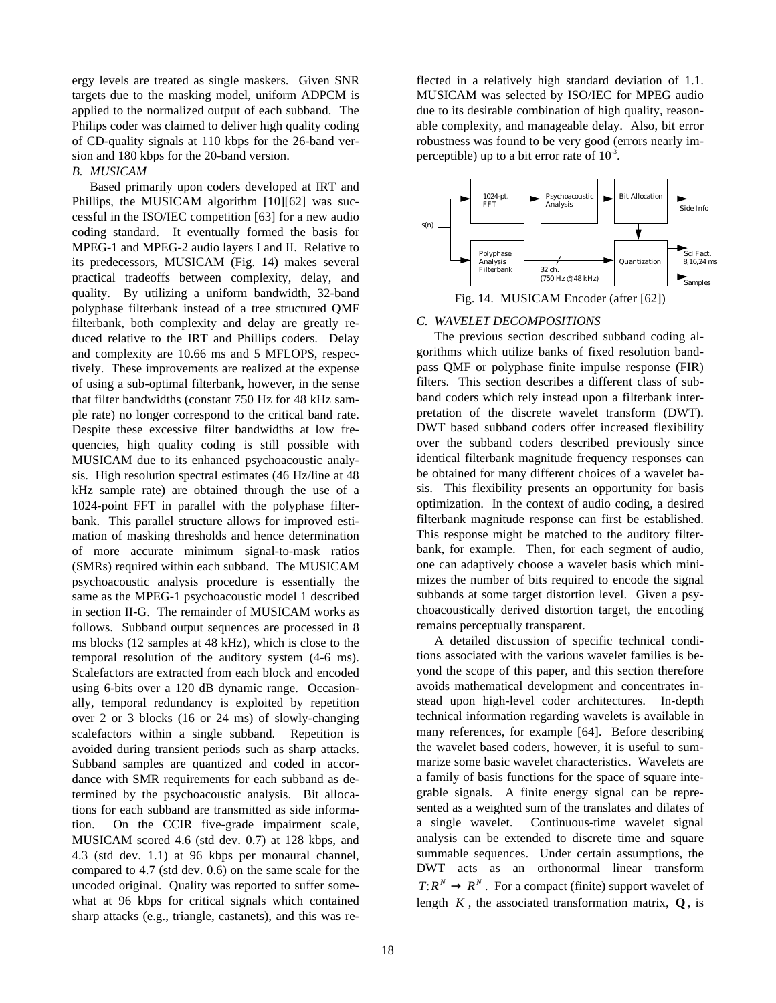ergy levels are treated as single maskers. Given SNR targets due to the masking model, uniform ADPCM is applied to the normalized output of each subband. The Philips coder was claimed to deliver high quality coding of CD-quality signals at 110 kbps for the 26-band version and 180 kbps for the 20-band version.

#### *B. MUSICAM*

Based primarily upon coders developed at IRT and Phillips, the MUSICAM algorithm [10][62] was successful in the ISO/IEC competition [63] for a new audio coding standard. It eventually formed the basis for MPEG-1 and MPEG-2 audio layers I and II. Relative to its predecessors, MUSICAM (Fig. 14) makes several practical tradeoffs between complexity, delay, and quality. By utilizing a uniform bandwidth, 32-band polyphase filterbank instead of a tree structured QMF filterbank, both complexity and delay are greatly reduced relative to the IRT and Phillips coders. Delay and complexity are 10.66 ms and 5 MFLOPS, respectively. These improvements are realized at the expense of using a sub-optimal filterbank, however, in the sense that filter bandwidths (constant 750 Hz for 48 kHz sample rate) no longer correspond to the critical band rate. Despite these excessive filter bandwidths at low frequencies, high quality coding is still possible with MUSICAM due to its enhanced psychoacoustic analysis. High resolution spectral estimates (46 Hz/line at 48 kHz sample rate) are obtained through the use of a 1024-point FFT in parallel with the polyphase filterbank. This parallel structure allows for improved estimation of masking thresholds and hence determination of more accurate minimum signal-to-mask ratios (SMRs) required within each subband. The MUSICAM psychoacoustic analysis procedure is essentially the same as the MPEG-1 psychoacoustic model 1 described in section II-G. The remainder of MUSICAM works as follows. Subband output sequences are processed in 8 ms blocks (12 samples at 48 kHz), which is close to the temporal resolution of the auditory system (4-6 ms). Scalefactors are extracted from each block and encoded using 6-bits over a 120 dB dynamic range. Occasionally, temporal redundancy is exploited by repetition over 2 or 3 blocks (16 or 24 ms) of slowly-changing scalefactors within a single subband. Repetition is avoided during transient periods such as sharp attacks. Subband samples are quantized and coded in accordance with SMR requirements for each subband as determined by the psychoacoustic analysis. Bit allocations for each subband are transmitted as side information. On the CCIR five-grade impairment scale, MUSICAM scored 4.6 (std dev. 0.7) at 128 kbps, and 4.3 (std dev. 1.1) at 96 kbps per monaural channel, compared to 4.7 (std dev. 0.6) on the same scale for the uncoded original. Quality was reported to suffer somewhat at 96 kbps for critical signals which contained sharp attacks (e.g., triangle, castanets), and this was reflected in a relatively high standard deviation of 1.1. MUSICAM was selected by ISO/IEC for MPEG audio due to its desirable combination of high quality, reasonable complexity, and manageable delay. Also, bit error robustness was found to be very good (errors nearly imperceptible) up to a bit error rate of  $10^{-3}$ .



Fig. 14. MUSICAM Encoder (after [62])

## *C. WAVELET DECOMPOSITIONS*

The previous section described subband coding algorithms which utilize banks of fixed resolution bandpass QMF or polyphase finite impulse response (FIR) filters. This section describes a different class of subband coders which rely instead upon a filterbank interpretation of the discrete wavelet transform (DWT). DWT based subband coders offer increased flexibility over the subband coders described previously since identical filterbank magnitude frequency responses can be obtained for many different choices of a wavelet basis. This flexibility presents an opportunity for basis optimization. In the context of audio coding, a desired filterbank magnitude response can first be established. This response might be matched to the auditory filterbank, for example. Then, for each segment of audio, one can adaptively choose a wavelet basis which minimizes the number of bits required to encode the signal subbands at some target distortion level. Given a psychoacoustically derived distortion target, the encoding remains perceptually transparent.

A detailed discussion of specific technical conditions associated with the various wavelet families is beyond the scope of this paper, and this section therefore avoids mathematical development and concentrates instead upon high-level coder architectures. In-depth technical information regarding wavelets is available in many references, for example [64]. Before describing the wavelet based coders, however, it is useful to summarize some basic wavelet characteristics. Wavelets are a family of basis functions for the space of square integrable signals. A finite energy signal can be represented as a weighted sum of the translates and dilates of a single wavelet. Continuous-time wavelet signal analysis can be extended to discrete time and square summable sequences. Under certain assumptions, the DWT acts as an orthonormal linear transform  $T: \mathbb{R}^N \to \mathbb{R}^N$ . For a compact (finite) support wavelet of length  $K$ , the associated transformation matrix,  $Q$ , is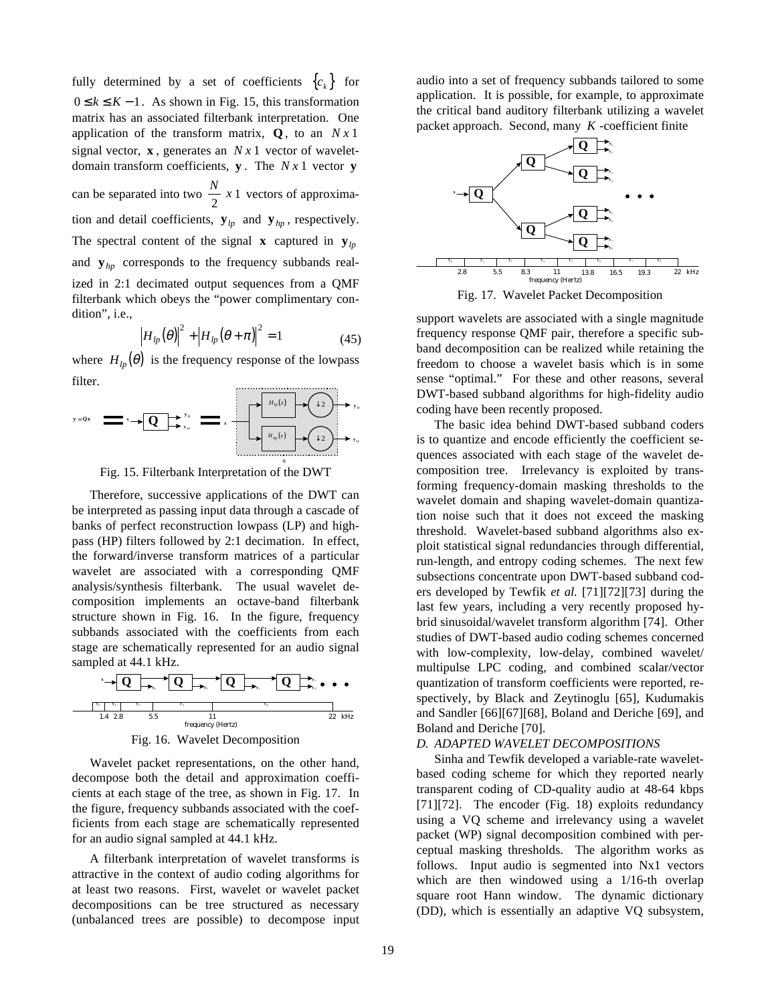fully determined by a set of coefficients  ${c_k}$  for  $0 \le k \le K - 1$ . As shown in Fig. 15, this transformation matrix has an associated filterbank interpretation. One application of the transform matrix,  $Q$ , to an  $Nx1$ signal vector,  $\bf{x}$ , generates an  $N \times 1$  vector of waveletdomain transform coefficients,  $\mathbf{y}$ . The  $Nx1$  vector  $\mathbf{y}$ can be separated into two  $\frac{N}{2}$  x 1 vectors of approximation and detail coefficients,  $\mathbf{y}_{lp}$  and  $\mathbf{y}_{hp}$ , respectively. The spectral content of the signal **x** captured in  $y_{lp}$ and **y***hp* corresponds to the frequency subbands realized in 2:1 decimated output sequences from a QMF filterbank which obeys the "power complimentary condition", i.e.,

$$
\left|H_{lp}(\theta)\right|^2 + \left|H_{lp}(\theta + \pi)\right|^2 = 1\tag{45}
$$

where  $H_{lp}(\theta)$  is the frequency response of the lowpass filter.

$$
y = Qx \implies x \mapsto Q \implies y_w \implies x \mapsto \frac{H_{\psi}(z)}{H_{\psi}(z)} \mapsto Q \mapsto y_w
$$

Fig. 15. Filterbank Interpretation of the DWT

Therefore, successive applications of the DWT can be interpreted as passing input data through a cascade of banks of perfect reconstruction lowpass (LP) and highpass (HP) filters followed by 2:1 decimation. In effect, the forward/inverse transform matrices of a particular wavelet are associated with a corresponding QMF analysis/synthesis filterbank. The usual wavelet decomposition implements an octave-band filterbank structure shown in Fig. 16. In the figure, frequency subbands associated with the coefficients from each stage are schematically represented for an audio signal sampled at 44.1 kHz.



Fig. 16. Wavelet Decomposition

Wavelet packet representations, on the other hand, decompose both the detail and approximation coefficients at each stage of the tree, as shown in Fig. 17. In the figure, frequency subbands associated with the coefficients from each stage are schematically represented for an audio signal sampled at 44.1 kHz.

A filterbank interpretation of wavelet transforms is attractive in the context of audio coding algorithms for at least two reasons. First, wavelet or wavelet packet decompositions can be tree structured as necessary (unbalanced trees are possible) to decompose input audio into a set of frequency subbands tailored to some application. It is possible, for example, to approximate the critical band auditory filterbank utilizing a wavelet packet approach. Second, many *K* -coefficient finite



Fig. 17. Wavelet Packet Decomposition

support wavelets are associated with a single magnitude frequency response QMF pair, therefore a specific subband decomposition can be realized while retaining the freedom to choose a wavelet basis which is in some sense "optimal." For these and other reasons, several DWT-based subband algorithms for high-fidelity audio coding have been recently proposed.

The basic idea behind DWT-based subband coders is to quantize and encode efficiently the coefficient sequences associated with each stage of the wavelet decomposition tree. Irrelevancy is exploited by transforming frequency-domain masking thresholds to the wavelet domain and shaping wavelet-domain quantization noise such that it does not exceed the masking threshold. Wavelet-based subband algorithms also exploit statistical signal redundancies through differential, run-length, and entropy coding schemes. The next few subsections concentrate upon DWT-based subband coders developed by Tewfik *et al.* [71][72][73] during the last few years, including a very recently proposed hybrid sinusoidal/wavelet transform algorithm [74]. Other studies of DWT-based audio coding schemes concerned with low-complexity, low-delay, combined wavelet/ multipulse LPC coding, and combined scalar/vector quantization of transform coefficients were reported, respectively, by Black and Zeytinoglu [65], Kudumakis and Sandler [66][67][68], Boland and Deriche [69], and Boland and Deriche [70].

#### *D. ADAPTED WAVELET DECOMPOSITIONS*

Sinha and Tewfik developed a variable-rate waveletbased coding scheme for which they reported nearly transparent coding of CD-quality audio at 48-64 kbps [71][72]. The encoder (Fig. 18) exploits redundancy using a VQ scheme and irrelevancy using a wavelet packet (WP) signal decomposition combined with perceptual masking thresholds. The algorithm works as follows. Input audio is segmented into Nx1 vectors which are then windowed using a 1/16-th overlap square root Hann window. The dynamic dictionary (DD), which is essentially an adaptive VQ subsystem,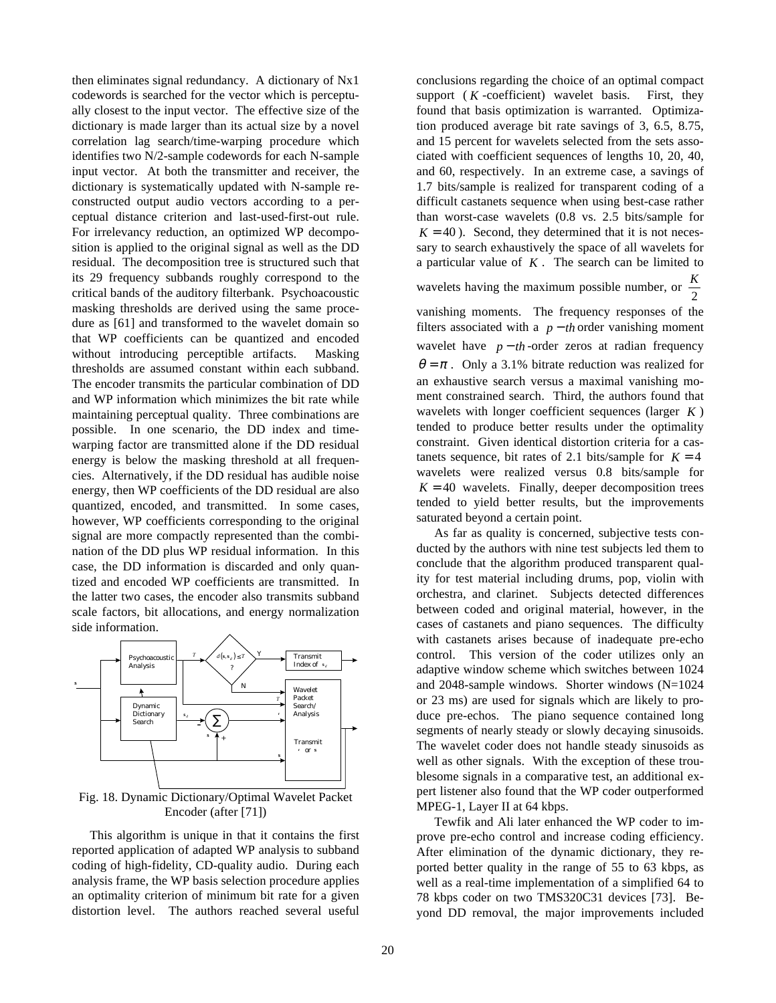then eliminates signal redundancy. A dictionary of Nx1 codewords is searched for the vector which is perceptually closest to the input vector. The effective size of the dictionary is made larger than its actual size by a novel correlation lag search/time-warping procedure which identifies two N/2-sample codewords for each N-sample input vector. At both the transmitter and receiver, the dictionary is systematically updated with N-sample reconstructed output audio vectors according to a perceptual distance criterion and last-used-first-out rule. For irrelevancy reduction, an optimized WP decomposition is applied to the original signal as well as the DD residual. The decomposition tree is structured such that its 29 frequency subbands roughly correspond to the critical bands of the auditory filterbank. Psychoacoustic masking thresholds are derived using the same procedure as [61] and transformed to the wavelet domain so that WP coefficients can be quantized and encoded without introducing perceptible artifacts. Masking thresholds are assumed constant within each subband. The encoder transmits the particular combination of DD and WP information which minimizes the bit rate while maintaining perceptual quality. Three combinations are possible. In one scenario, the DD index and timewarping factor are transmitted alone if the DD residual energy is below the masking threshold at all frequencies. Alternatively, if the DD residual has audible noise energy, then WP coefficients of the DD residual are also quantized, encoded, and transmitted. In some cases, however, WP coefficients corresponding to the original signal are more compactly represented than the combination of the DD plus WP residual information. In this case, the DD information is discarded and only quantized and encoded WP coefficients are transmitted. In the latter two cases, the encoder also transmits subband scale factors, bit allocations, and energy normalization side information.



Fig. 18. Dynamic Dictionary/Optimal Wavelet Packet Encoder (after [71])

This algorithm is unique in that it contains the first reported application of adapted WP analysis to subband coding of high-fidelity, CD-quality audio. During each analysis frame, the WP basis selection procedure applies an optimality criterion of minimum bit rate for a given distortion level. The authors reached several useful

conclusions regarding the choice of an optimal compact support  $(K$ -coefficient) wavelet basis. First, they found that basis optimization is warranted. Optimization produced average bit rate savings of 3, 6.5, 8.75, and 15 percent for wavelets selected from the sets associated with coefficient sequences of lengths 10, 20, 40, and 60, respectively. In an extreme case, a savings of 1.7 bits/sample is realized for transparent coding of a difficult castanets sequence when using best-case rather than worst-case wavelets (0.8 vs. 2.5 bits/sample for  $K = 40$ ). Second, they determined that it is not necessary to search exhaustively the space of all wavelets for a particular value of  $K$ . The search can be limited to wavelets having the maximum possible number, or  $\frac{K}{2}$ 

vanishing moments. The frequency responses of the filters associated with a  $p - th$  order vanishing moment wavelet have  $p - th$ -order zeros at radian frequency  $\theta = \pi$ . Only a 3.1% bitrate reduction was realized for an exhaustive search versus a maximal vanishing moment constrained search. Third, the authors found that wavelets with longer coefficient sequences (larger *K* ) tended to produce better results under the optimality constraint. Given identical distortion criteria for a castanets sequence, bit rates of 2.1 bits/sample for  $K = 4$ wavelets were realized versus 0.8 bits/sample for  $K = 40$  wavelets. Finally, deeper decomposition trees tended to yield better results, but the improvements saturated beyond a certain point.

As far as quality is concerned, subjective tests conducted by the authors with nine test subjects led them to conclude that the algorithm produced transparent quality for test material including drums, pop, violin with orchestra, and clarinet. Subjects detected differences between coded and original material, however, in the cases of castanets and piano sequences. The difficulty with castanets arises because of inadequate pre-echo control. This version of the coder utilizes only an adaptive window scheme which switches between 1024 and 2048-sample windows. Shorter windows (N=1024 or 23 ms) are used for signals which are likely to produce pre-echos. The piano sequence contained long segments of nearly steady or slowly decaying sinusoids. The wavelet coder does not handle steady sinusoids as well as other signals. With the exception of these troublesome signals in a comparative test, an additional expert listener also found that the WP coder outperformed MPEG-1, Layer II at 64 kbps.

Tewfik and Ali later enhanced the WP coder to improve pre-echo control and increase coding efficiency. After elimination of the dynamic dictionary, they reported better quality in the range of 55 to 63 kbps, as well as a real-time implementation of a simplified 64 to 78 kbps coder on two TMS320C31 devices [73]. Beyond DD removal, the major improvements included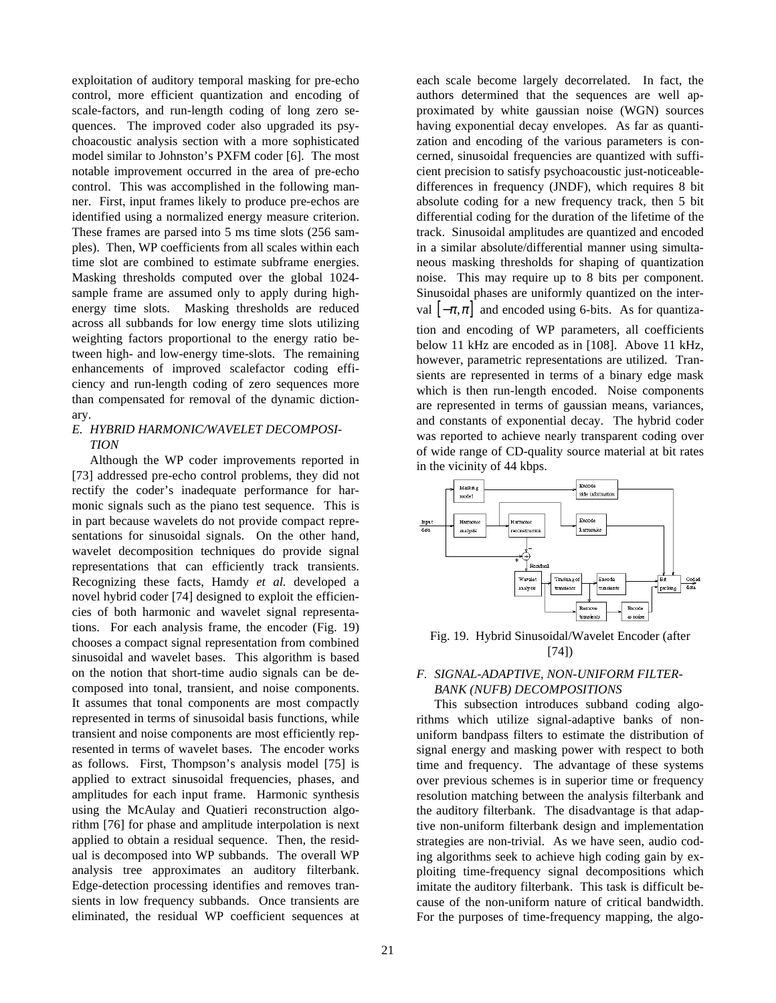exploitation of auditory temporal masking for pre-echo control, more efficient quantization and encoding of scale-factors, and run-length coding of long zero sequences. The improved coder also upgraded its psychoacoustic analysis section with a more sophisticated model similar to Johnston's PXFM coder [6]. The most notable improvement occurred in the area of pre-echo control. This was accomplished in the following manner. First, input frames likely to produce pre-echos are identified using a normalized energy measure criterion. These frames are parsed into 5 ms time slots (256 samples). Then, WP coefficients from all scales within each time slot are combined to estimate subframe energies. Masking thresholds computed over the global 1024 sample frame are assumed only to apply during highenergy time slots. Masking thresholds are reduced across all subbands for low energy time slots utilizing weighting factors proportional to the energy ratio between high- and low-energy time-slots. The remaining enhancements of improved scalefactor coding efficiency and run-length coding of zero sequences more than compensated for removal of the dynamic dictionary.

## *E. HYBRID HARMONIC/WAVELET DECOMPOSI-TION*

Although the WP coder improvements reported in [73] addressed pre-echo control problems, they did not rectify the coder's inadequate performance for harmonic signals such as the piano test sequence. This is in part because wavelets do not provide compact representations for sinusoidal signals. On the other hand, wavelet decomposition techniques do provide signal representations that can efficiently track transients. Recognizing these facts, Hamdy *et al.* developed a novel hybrid coder [74] designed to exploit the efficiencies of both harmonic and wavelet signal representations. For each analysis frame, the encoder (Fig. 19) chooses a compact signal representation from combined sinusoidal and wavelet bases. This algorithm is based on the notion that short-time audio signals can be decomposed into tonal, transient, and noise components. It assumes that tonal components are most compactly represented in terms of sinusoidal basis functions, while transient and noise components are most efficiently represented in terms of wavelet bases. The encoder works as follows. First, Thompson's analysis model [75] is applied to extract sinusoidal frequencies, phases, and amplitudes for each input frame. Harmonic synthesis using the McAulay and Quatieri reconstruction algorithm [76] for phase and amplitude interpolation is next applied to obtain a residual sequence. Then, the residual is decomposed into WP subbands. The overall WP analysis tree approximates an auditory filterbank. Edge-detection processing identifies and removes transients in low frequency subbands. Once transients are eliminated, the residual WP coefficient sequences at

21

each scale become largely decorrelated. In fact, the authors determined that the sequences are well approximated by white gaussian noise (WGN) sources having exponential decay envelopes. As far as quantization and encoding of the various parameters is concerned, sinusoidal frequencies are quantized with sufficient precision to satisfy psychoacoustic just-noticeabledifferences in frequency (JNDF), which requires 8 bit absolute coding for a new frequency track, then 5 bit differential coding for the duration of the lifetime of the track. Sinusoidal amplitudes are quantized and encoded in a similar absolute/differential manner using simultaneous masking thresholds for shaping of quantization noise. This may require up to 8 bits per component. Sinusoidal phases are uniformly quantized on the interval  $[-\pi, \pi]$  and encoded using 6-bits. As for quantization and encoding of WP parameters, all coefficients below 11 kHz are encoded as in [108]. Above 11 kHz, however, parametric representations are utilized. Transients are represented in terms of a binary edge mask which is then run-length encoded. Noise components are represented in terms of gaussian means, variances, and constants of exponential decay. The hybrid coder was reported to achieve nearly transparent coding over of wide range of CD-quality source material at bit rates in the vicinity of 44 kbps.



Fig. 19. Hybrid Sinusoidal/Wavelet Encoder (after [74])

# *F. SIGNAL-ADAPTIVE, NON-UNIFORM FILTER-BANK (NUFB) DECOMPOSITIONS*

This subsection introduces subband coding algorithms which utilize signal-adaptive banks of nonuniform bandpass filters to estimate the distribution of signal energy and masking power with respect to both time and frequency. The advantage of these systems over previous schemes is in superior time or frequency resolution matching between the analysis filterbank and the auditory filterbank. The disadvantage is that adaptive non-uniform filterbank design and implementation strategies are non-trivial. As we have seen, audio coding algorithms seek to achieve high coding gain by exploiting time-frequency signal decompositions which imitate the auditory filterbank. This task is difficult because of the non-uniform nature of critical bandwidth. For the purposes of time-frequency mapping, the algo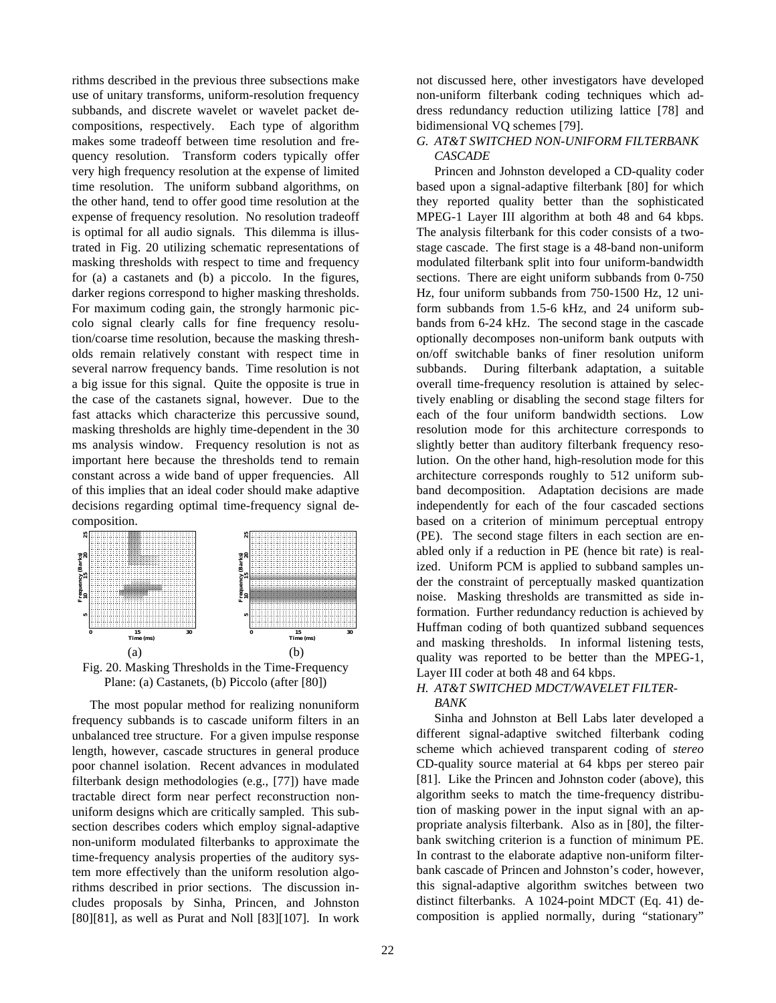rithms described in the previous three subsections make use of unitary transforms, uniform-resolution frequency subbands, and discrete wavelet or wavelet packet decompositions, respectively. Each type of algorithm makes some tradeoff between time resolution and frequency resolution. Transform coders typically offer very high frequency resolution at the expense of limited time resolution. The uniform subband algorithms, on the other hand, tend to offer good time resolution at the expense of frequency resolution. No resolution tradeoff is optimal for all audio signals. This dilemma is illustrated in Fig. 20 utilizing schematic representations of masking thresholds with respect to time and frequency for (a) a castanets and (b) a piccolo. In the figures, darker regions correspond to higher masking thresholds. For maximum coding gain, the strongly harmonic piccolo signal clearly calls for fine frequency resolution/coarse time resolution, because the masking thresholds remain relatively constant with respect time in several narrow frequency bands. Time resolution is not a big issue for this signal. Quite the opposite is true in the case of the castanets signal, however. Due to the fast attacks which characterize this percussive sound, masking thresholds are highly time-dependent in the 30 ms analysis window. Frequency resolution is not as important here because the thresholds tend to remain constant across a wide band of upper frequencies. All of this implies that an ideal coder should make adaptive decisions regarding optimal time-frequency signal decomposition.





The most popular method for realizing nonuniform frequency subbands is to cascade uniform filters in an unbalanced tree structure. For a given impulse response length, however, cascade structures in general produce poor channel isolation. Recent advances in modulated filterbank design methodologies (e.g., [77]) have made tractable direct form near perfect reconstruction nonuniform designs which are critically sampled. This subsection describes coders which employ signal-adaptive non-uniform modulated filterbanks to approximate the time-frequency analysis properties of the auditory system more effectively than the uniform resolution algorithms described in prior sections. The discussion includes proposals by Sinha, Princen, and Johnston [80][81], as well as Purat and Noll [83][107]. In work

bidimensional VQ schemes [79]. *G. AT&T SWITCHED NON-UNIFORM FILTERBANK CASCADE* Princen and Johnston developed a CD-quality coder

not discussed here, other investigators have developed non-uniform filterbank coding techniques which address redundancy reduction utilizing lattice [78] and

based upon a signal-adaptive filterbank [80] for which they reported quality better than the sophisticated MPEG-1 Layer III algorithm at both 48 and 64 kbps. The analysis filterbank for this coder consists of a twostage cascade. The first stage is a 48-band non-uniform modulated filterbank split into four uniform-bandwidth sections. There are eight uniform subbands from 0-750 Hz, four uniform subbands from 750-1500 Hz, 12 uniform subbands from 1.5-6 kHz, and 24 uniform subbands from 6-24 kHz. The second stage in the cascade optionally decomposes non-uniform bank outputs with on/off switchable banks of finer resolution uniform subbands. During filterbank adaptation, a suitable overall time-frequency resolution is attained by selectively enabling or disabling the second stage filters for each of the four uniform bandwidth sections. Low resolution mode for this architecture corresponds to slightly better than auditory filterbank frequency resolution. On the other hand, high-resolution mode for this architecture corresponds roughly to 512 uniform subband decomposition. Adaptation decisions are made independently for each of the four cascaded sections based on a criterion of minimum perceptual entropy (PE). The second stage filters in each section are enabled only if a reduction in PE (hence bit rate) is realized. Uniform PCM is applied to subband samples under the constraint of perceptually masked quantization noise. Masking thresholds are transmitted as side information. Further redundancy reduction is achieved by Huffman coding of both quantized subband sequences and masking thresholds. In informal listening tests, quality was reported to be better than the MPEG-1, Layer III coder at both 48 and 64 kbps.

## *H. AT&T SWITCHED MDCT/WAVELET FILTER-BANK*

Sinha and Johnston at Bell Labs later developed a different signal-adaptive switched filterbank coding scheme which achieved transparent coding of *stereo* CD-quality source material at 64 kbps per stereo pair [81]. Like the Princen and Johnston coder (above), this algorithm seeks to match the time-frequency distribution of masking power in the input signal with an appropriate analysis filterbank. Also as in [80], the filterbank switching criterion is a function of minimum PE. In contrast to the elaborate adaptive non-uniform filterbank cascade of Princen and Johnston's coder, however, this signal-adaptive algorithm switches between two distinct filterbanks. A 1024-point MDCT (Eq. 41) decomposition is applied normally, during "stationary"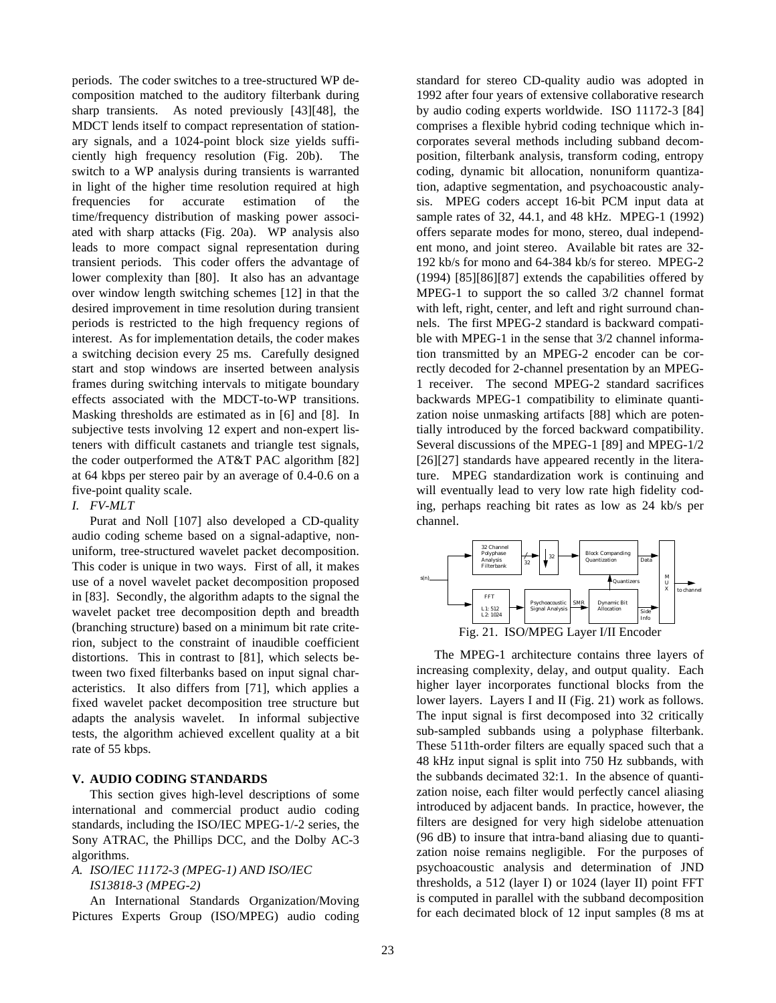periods. The coder switches to a tree-structured WP decomposition matched to the auditory filterbank during sharp transients. As noted previously [43][48], the MDCT lends itself to compact representation of stationary signals, and a 1024-point block size yields sufficiently high frequency resolution (Fig. 20b). The switch to a WP analysis during transients is warranted in light of the higher time resolution required at high frequencies for accurate estimation of the time/frequency distribution of masking power associated with sharp attacks (Fig. 20a). WP analysis also leads to more compact signal representation during transient periods. This coder offers the advantage of lower complexity than [80]. It also has an advantage over window length switching schemes [12] in that the desired improvement in time resolution during transient periods is restricted to the high frequency regions of interest. As for implementation details, the coder makes a switching decision every 25 ms. Carefully designed start and stop windows are inserted between analysis frames during switching intervals to mitigate boundary effects associated with the MDCT-to-WP transitions. Masking thresholds are estimated as in [6] and [8]. In subjective tests involving 12 expert and non-expert listeners with difficult castanets and triangle test signals, the coder outperformed the AT&T PAC algorithm [82] at 64 kbps per stereo pair by an average of 0.4-0.6 on a five-point quality scale.

## *I. FV-MLT*

Purat and Noll [107] also developed a CD-quality audio coding scheme based on a signal-adaptive, nonuniform, tree-structured wavelet packet decomposition. This coder is unique in two ways. First of all, it makes use of a novel wavelet packet decomposition proposed in [83]. Secondly, the algorithm adapts to the signal the wavelet packet tree decomposition depth and breadth (branching structure) based on a minimum bit rate criterion, subject to the constraint of inaudible coefficient distortions. This in contrast to [81], which selects between two fixed filterbanks based on input signal characteristics. It also differs from [71], which applies a fixed wavelet packet decomposition tree structure but adapts the analysis wavelet. In informal subjective tests, the algorithm achieved excellent quality at a bit rate of 55 kbps.

# **V. AUDIO CODING STANDARDS**

This section gives high-level descriptions of some international and commercial product audio coding standards, including the ISO/IEC MPEG-1/-2 series, the Sony ATRAC, the Phillips DCC, and the Dolby AC-3 algorithms.

# *A. ISO/IEC 11172-3 (MPEG-1) AND ISO/IEC IS13818-3 (MPEG-2)*

An International Standards Organization/Moving Pictures Experts Group (ISO/MPEG) audio coding

standard for stereo CD-quality audio was adopted in 1992 after four years of extensive collaborative research by audio coding experts worldwide. ISO 11172-3 [84] comprises a flexible hybrid coding technique which incorporates several methods including subband decomposition, filterbank analysis, transform coding, entropy coding, dynamic bit allocation, nonuniform quantization, adaptive segmentation, and psychoacoustic analysis. MPEG coders accept 16-bit PCM input data at sample rates of 32, 44.1, and 48 kHz. MPEG-1 (1992) offers separate modes for mono, stereo, dual independent mono, and joint stereo. Available bit rates are 32- 192 kb/s for mono and 64-384 kb/s for stereo. MPEG-2 (1994) [85][86][87] extends the capabilities offered by MPEG-1 to support the so called 3/2 channel format with left, right, center, and left and right surround channels. The first MPEG-2 standard is backward compatible with MPEG-1 in the sense that 3/2 channel information transmitted by an MPEG-2 encoder can be correctly decoded for 2-channel presentation by an MPEG-1 receiver. The second MPEG-2 standard sacrifices backwards MPEG-1 compatibility to eliminate quantization noise unmasking artifacts [88] which are potentially introduced by the forced backward compatibility. Several discussions of the MPEG-1 [89] and MPEG-1/2 [26][27] standards have appeared recently in the literature. MPEG standardization work is continuing and will eventually lead to very low rate high fidelity coding, perhaps reaching bit rates as low as 24 kb/s per channel.



The MPEG-1 architecture contains three layers of increasing complexity, delay, and output quality. Each higher layer incorporates functional blocks from the lower layers. Layers I and II (Fig. 21) work as follows. The input signal is first decomposed into 32 critically sub-sampled subbands using a polyphase filterbank. These 511th-order filters are equally spaced such that a 48 kHz input signal is split into 750 Hz subbands, with the subbands decimated 32:1. In the absence of quantization noise, each filter would perfectly cancel aliasing introduced by adjacent bands. In practice, however, the filters are designed for very high sidelobe attenuation (96 dB) to insure that intra-band aliasing due to quantization noise remains negligible. For the purposes of psychoacoustic analysis and determination of JND thresholds, a 512 (layer I) or 1024 (layer II) point FFT is computed in parallel with the subband decomposition for each decimated block of 12 input samples (8 ms at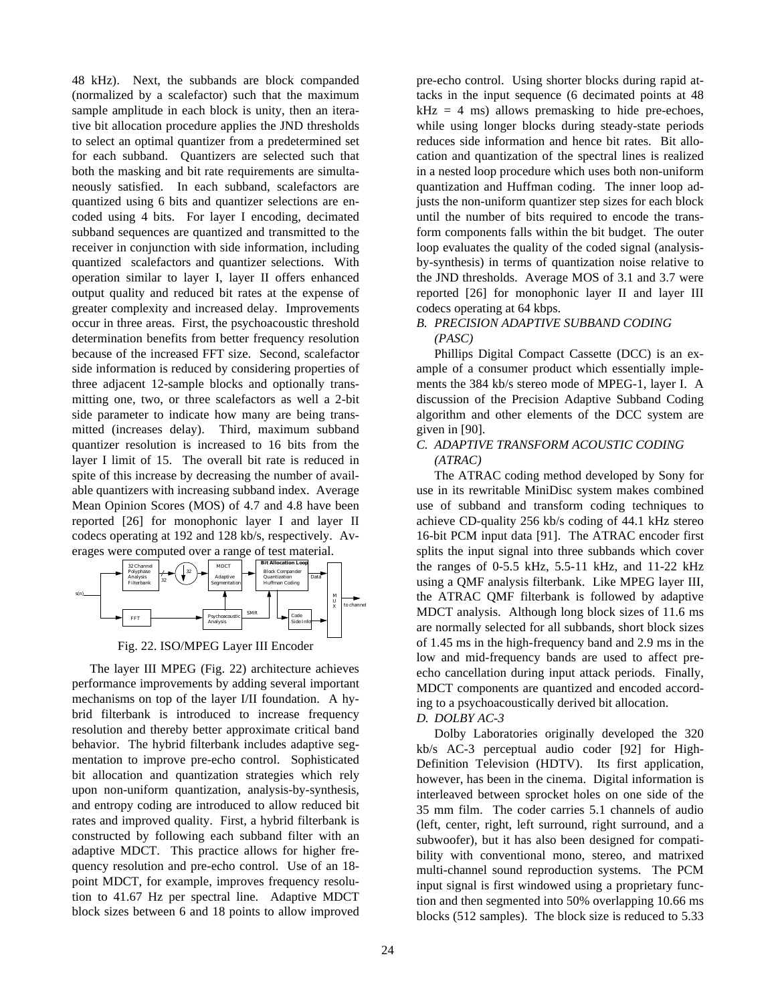48 kHz). Next, the subbands are block companded (normalized by a scalefactor) such that the maximum sample amplitude in each block is unity, then an iterative bit allocation procedure applies the JND thresholds to select an optimal quantizer from a predetermined set for each subband. Quantizers are selected such that both the masking and bit rate requirements are simultaneously satisfied. In each subband, scalefactors are quantized using 6 bits and quantizer selections are encoded using 4 bits. For layer I encoding, decimated subband sequences are quantized and transmitted to the receiver in conjunction with side information, including quantized scalefactors and quantizer selections. With operation similar to layer I, layer II offers enhanced output quality and reduced bit rates at the expense of greater complexity and increased delay. Improvements occur in three areas. First, the psychoacoustic threshold determination benefits from better frequency resolution because of the increased FFT size. Second, scalefactor side information is reduced by considering properties of three adjacent 12-sample blocks and optionally transmitting one, two, or three scalefactors as well a 2-bit side parameter to indicate how many are being transmitted (increases delay). Third, maximum subband quantizer resolution is increased to 16 bits from the layer I limit of 15. The overall bit rate is reduced in spite of this increase by decreasing the number of available quantizers with increasing subband index. Average Mean Opinion Scores (MOS) of 4.7 and 4.8 have been reported [26] for monophonic layer I and layer II codecs operating at 192 and 128 kb/s, respectively. Averages were computed over a range of test material.



Fig. 22. ISO/MPEG Layer III Encoder

The layer III MPEG (Fig. 22) architecture achieves performance improvements by adding several important mechanisms on top of the layer I/II foundation. A hybrid filterbank is introduced to increase frequency resolution and thereby better approximate critical band behavior. The hybrid filterbank includes adaptive segmentation to improve pre-echo control. Sophisticated bit allocation and quantization strategies which rely upon non-uniform quantization, analysis-by-synthesis, and entropy coding are introduced to allow reduced bit rates and improved quality. First, a hybrid filterbank is constructed by following each subband filter with an adaptive MDCT. This practice allows for higher frequency resolution and pre-echo control. Use of an 18 point MDCT, for example, improves frequency resolution to 41.67 Hz per spectral line. Adaptive MDCT block sizes between 6 and 18 points to allow improved

pre-echo control. Using shorter blocks during rapid attacks in the input sequence (6 decimated points at 48  $kHz = 4$  ms) allows premasking to hide pre-echoes, while using longer blocks during steady-state periods reduces side information and hence bit rates. Bit allocation and quantization of the spectral lines is realized in a nested loop procedure which uses both non-uniform quantization and Huffman coding. The inner loop adjusts the non-uniform quantizer step sizes for each block until the number of bits required to encode the transform components falls within the bit budget. The outer loop evaluates the quality of the coded signal (analysisby-synthesis) in terms of quantization noise relative to the JND thresholds. Average MOS of 3.1 and 3.7 were reported [26] for monophonic layer II and layer III codecs operating at 64 kbps.

## *B. PRECISION ADAPTIVE SUBBAND CODING (PASC)*

Phillips Digital Compact Cassette (DCC) is an example of a consumer product which essentially implements the 384 kb/s stereo mode of MPEG-1, layer I. A discussion of the Precision Adaptive Subband Coding algorithm and other elements of the DCC system are given in [90].

# *C. ADAPTIVE TRANSFORM ACOUSTIC CODING (ATRAC)*

The ATRAC coding method developed by Sony for use in its rewritable MiniDisc system makes combined use of subband and transform coding techniques to achieve CD-quality 256 kb/s coding of 44.1 kHz stereo 16-bit PCM input data [91]. The ATRAC encoder first splits the input signal into three subbands which cover the ranges of 0-5.5 kHz, 5.5-11 kHz, and 11-22 kHz using a QMF analysis filterbank. Like MPEG layer III, the ATRAC QMF filterbank is followed by adaptive MDCT analysis. Although long block sizes of 11.6 ms are normally selected for all subbands, short block sizes of 1.45 ms in the high-frequency band and 2.9 ms in the low and mid-frequency bands are used to affect preecho cancellation during input attack periods. Finally, MDCT components are quantized and encoded according to a psychoacoustically derived bit allocation. *D. DOLBY AC-3*

Dolby Laboratories originally developed the 320 kb/s AC-3 perceptual audio coder [92] for High-Definition Television (HDTV). Its first application, however, has been in the cinema. Digital information is interleaved between sprocket holes on one side of the 35 mm film. The coder carries 5.1 channels of audio (left, center, right, left surround, right surround, and a subwoofer), but it has also been designed for compatibility with conventional mono, stereo, and matrixed multi-channel sound reproduction systems. The PCM input signal is first windowed using a proprietary function and then segmented into 50% overlapping 10.66 ms blocks (512 samples). The block size is reduced to 5.33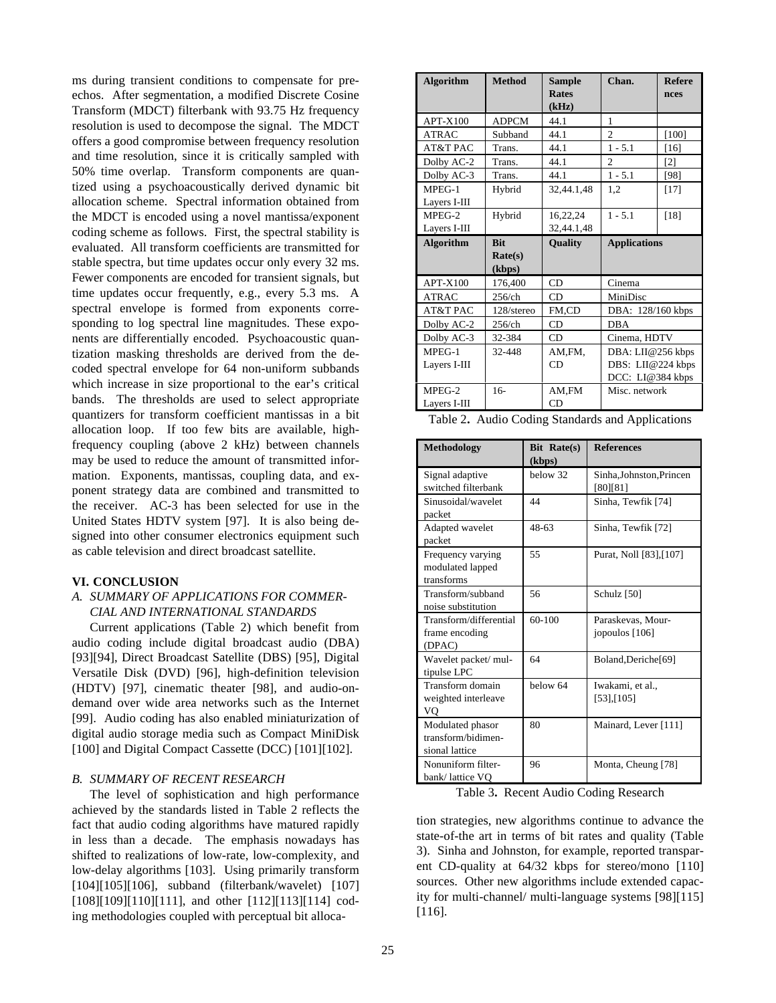ms during transient conditions to compensate for preechos. After segmentation, a modified Discrete Cosine Transform (MDCT) filterbank with 93.75 Hz frequency resolution is used to decompose the signal. The MDCT offers a good compromise between frequency resolution and time resolution, since it is critically sampled with 50% time overlap. Transform components are quantized using a psychoacoustically derived dynamic bit allocation scheme. Spectral information obtained from the MDCT is encoded using a novel mantissa/exponent coding scheme as follows. First, the spectral stability is evaluated. All transform coefficients are transmitted for stable spectra, but time updates occur only every 32 ms. Fewer components are encoded for transient signals, but time updates occur frequently, e.g., every 5.3 ms. A spectral envelope is formed from exponents corresponding to log spectral line magnitudes. These exponents are differentially encoded. Psychoacoustic quantization masking thresholds are derived from the decoded spectral envelope for 64 non-uniform subbands which increase in size proportional to the ear's critical bands. The thresholds are used to select appropriate quantizers for transform coefficient mantissas in a bit allocation loop. If too few bits are available, highfrequency coupling (above 2 kHz) between channels may be used to reduce the amount of transmitted information. Exponents, mantissas, coupling data, and exponent strategy data are combined and transmitted to the receiver. AC-3 has been selected for use in the United States HDTV system [97]. It is also being designed into other consumer electronics equipment such as cable television and direct broadcast satellite.

## **VI. CONCLUSION**

*A. SUMMARY OF APPLICATIONS FOR COMMER-CIAL AND INTERNATIONAL STANDARDS*

Current applications (Table 2) which benefit from audio coding include digital broadcast audio (DBA) [93][94], Direct Broadcast Satellite (DBS) [95], Digital Versatile Disk (DVD) [96], high-definition television (HDTV) [97], cinematic theater [98], and audio-ondemand over wide area networks such as the Internet [99]. Audio coding has also enabled miniaturization of digital audio storage media such as Compact MiniDisk [100] and Digital Compact Cassette (DCC) [101][102].

## *B. SUMMARY OF RECENT RESEARCH*

The level of sophistication and high performance achieved by the standards listed in Table 2 reflects the fact that audio coding algorithms have matured rapidly in less than a decade. The emphasis nowadays has shifted to realizations of low-rate, low-complexity, and low-delay algorithms [103]. Using primarily transform [104][105][106], subband (filterbank/wavelet) [107] [108][109][110][111], and other [112][113][114] coding methodologies coupled with perceptual bit alloca-

| <b>Algorithm</b> | <b>Method</b> | <b>Sample</b><br><b>Rates</b><br>(kHz) | Chan.                                                                                                                                                | <b>Refere</b><br>nces |
|------------------|---------------|----------------------------------------|------------------------------------------------------------------------------------------------------------------------------------------------------|-----------------------|
| $APT-X100$       | <b>ADPCM</b>  | 44.1                                   | 1                                                                                                                                                    |                       |
| <b>ATRAC</b>     | Subband       | 44.1                                   | $\mathfrak{D}$                                                                                                                                       | $[100]$               |
| AT&T PAC         | Trans.        | 44.1                                   | $1 - 5.1$                                                                                                                                            | [16]                  |
| Dolby AC-2       | Trans.        | 44.1                                   | $\overline{c}$                                                                                                                                       | $\lceil 2 \rceil$     |
| Dolby AC-3       | Trans.        | 44.1                                   | $1 - 5.1$                                                                                                                                            | [98]                  |
| $MPEG-1$         | Hybrid        | 32,44.1,48                             | 1,2                                                                                                                                                  | [17]                  |
| Layers I-III     |               |                                        |                                                                                                                                                      |                       |
| MPEG-2           | Hybrid        | 16,22,24                               | $1 - 5.1$                                                                                                                                            | [18]                  |
| Layers I-III     |               | 32,44.1,48                             |                                                                                                                                                      |                       |
| <b>Algorithm</b> | <b>Bit</b>    | <b>Quality</b>                         | <b>Applications</b>                                                                                                                                  |                       |
|                  | Rate(s)       |                                        |                                                                                                                                                      |                       |
|                  | (kbps)        |                                        |                                                                                                                                                      |                       |
| <b>APT-X100</b>  | 176,400       | CD                                     | Cinema<br>MiniDisc<br>DBA: 128/160 kbps<br><b>DBA</b><br>Cinema, HDTV<br>DBA: LII@256 kbps<br>DBS: LII@224 kbps<br>DCC: LI@384 kbps<br>Misc. network |                       |
| <b>ATRAC</b>     | $256$ /ch     | CD                                     |                                                                                                                                                      |                       |
| AT&T PAC         | 128/stereo    | FM,CD                                  |                                                                                                                                                      |                       |
| Dolby AC-2       | $256$ /ch     | CD                                     |                                                                                                                                                      |                       |
| Dolby AC-3       | 32-384        | CD                                     |                                                                                                                                                      |                       |
| $MPEG-1$         | 32-448        | AM,FM,                                 |                                                                                                                                                      |                       |
| Layers I-III     |               | CD                                     |                                                                                                                                                      |                       |
|                  |               |                                        |                                                                                                                                                      |                       |
| MPEG-2           | $16-$         | AM,FM                                  |                                                                                                                                                      |                       |
|                  |               |                                        |                                                                                                                                                      |                       |

|  |  |  |  |  | Table 2. Audio Coding Standards and Applications |
|--|--|--|--|--|--------------------------------------------------|
|--|--|--|--|--|--------------------------------------------------|

| <b>Methodology</b>                                       | <b>Bit Rate(s)</b><br>(kbps) | <b>References</b>                    |
|----------------------------------------------------------|------------------------------|--------------------------------------|
| Signal adaptive<br>switched filterbank                   | below 32                     | Sinha, Johnston, Princen<br>[80][81] |
| Sinusoidal/wavelet<br>packet                             | 44                           | Sinha, Tewfik [74]                   |
| Adapted wavelet<br>packet                                | 48-63                        | Sinha, Tewfik [72]                   |
| Frequency varying<br>modulated lapped<br>transforms      | 55                           | Purat, Noll [83], [107]              |
| Transform/subband<br>noise substitution                  | 56                           | Schulz [50]                          |
| Transform/differential<br>frame encoding<br>(DPAC)       | 60-100                       | Paraskevas, Mour-<br>jopoulos [106]  |
| Wavelet packet/ mul-<br>tipulse LPC                      | 64                           | Boland, Deriche <sup>[69]</sup>      |
| Transform domain<br>weighted interleave<br>VO            | below 64                     | Iwakami, et al.,<br>$[53]$ , $[105]$ |
| Modulated phasor<br>transform/bidimen-<br>sional lattice | 80                           | Mainard, Lever [111]                 |
| Nonuniform filter-<br>bank/lattice VQ                    | 96                           | Monta, Cheung [78]                   |

Table 3**.** Recent Audio Coding Research

tion strategies, new algorithms continue to advance the state-of-the art in terms of bit rates and quality (Table 3). Sinha and Johnston, for example, reported transparent CD-quality at 64/32 kbps for stereo/mono [110] sources. Other new algorithms include extended capacity for multi-channel/ multi-language systems [98][115] [116].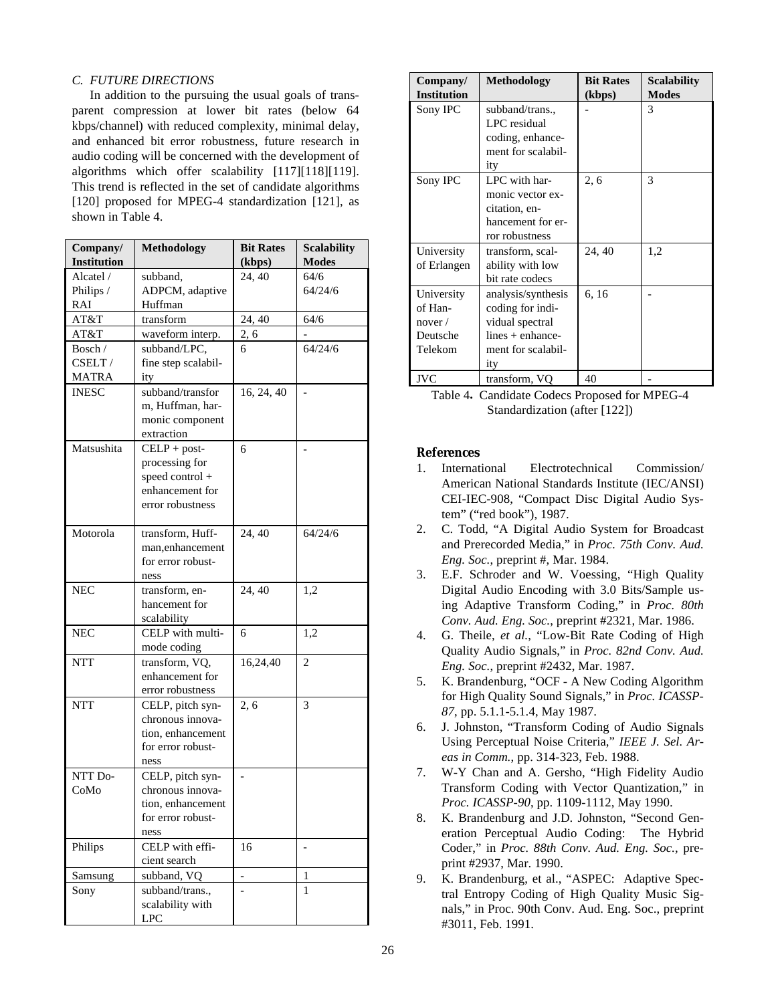# *C. FUTURE DIRECTIONS*

In addition to the pursuing the usual goals of transparent compression at lower bit rates (below 64 kbps/channel) with reduced complexity, minimal delay, and enhanced bit error robustness, future research in audio coding will be concerned with the development of algorithms which offer scalability [117][118][119]. This trend is reflected in the set of candidate algorithms [120] proposed for MPEG-4 standardization [121], as shown in Table 4.

| Company/     | <b>Methodology</b>  | <b>Bit Rates</b> | <b>Scalability</b> |
|--------------|---------------------|------------------|--------------------|
| Institution  |                     | (kbps)           | <b>Modes</b>       |
| Alcatel /    | subband,            | 24, 40           | 64/6               |
| Philips /    | ADPCM, adaptive     |                  | 64/24/6            |
| RAI          | Huffman             |                  |                    |
| AT&T         | transform           | 24, 40           | 64/6               |
| AT&T         | waveform interp.    | 2, 6             |                    |
| Bosch /      | subband/LPC,        | 6                | 64/24/6            |
| CSELT/       | fine step scalabil- |                  |                    |
| <b>MATRA</b> | ity                 |                  |                    |
| <b>INESC</b> | subband/transfor    | 16, 24, 40       |                    |
|              | m, Huffman, har-    |                  |                    |
|              | monic component     |                  |                    |
|              | extraction          |                  |                    |
| Matsushita   | $CELP + post-$      | 6                |                    |
|              | processing for      |                  |                    |
|              | speed control +     |                  |                    |
|              | enhancement for     |                  |                    |
|              | error robustness    |                  |                    |
|              |                     |                  |                    |
| Motorola     | transform, Huff-    | 24, 40           | 64/24/6            |
|              | man, enhancement    |                  |                    |
|              | for error robust-   |                  |                    |
|              | ness                |                  |                    |
| <b>NEC</b>   | transform, en-      | 24, 40           | 1,2                |
|              | hancement for       |                  |                    |
|              | scalability         |                  |                    |
| <b>NEC</b>   | CELP with multi-    | 6                | 1,2                |
|              | mode coding         |                  |                    |
| <b>NTT</b>   | transform, VQ,      | 16,24,40         | $\sqrt{2}$         |
|              | enhancement for     |                  |                    |
|              | error robustness    |                  |                    |
| <b>NTT</b>   | CELP, pitch syn-    | 2, 6             | 3                  |
|              | chronous innova-    |                  |                    |
|              | tion, enhancement   |                  |                    |
|              | for error robust-   |                  |                    |
|              | ness                |                  |                    |
| NTT Do-      | CELP, pitch syn-    |                  |                    |
| CoMo         | chronous innova-    |                  |                    |
|              | tion, enhancement   |                  |                    |
|              | for error robust-   |                  |                    |
|              | ness                |                  |                    |
| Philips      | CELP with effi-     | 16               |                    |
|              | cient search        |                  |                    |
| Samsung      | subband, VQ         | -                | 1                  |
| Sony         | subband/trans.,     |                  | 1                  |
|              | scalability with    |                  |                    |
|              | <b>LPC</b>          |                  |                    |

| Company/<br><b>Institution</b>                                 | <b>Methodology</b>                                                                                           | <b>Bit Rates</b><br>(kbps) | <b>Scalability</b><br><b>Modes</b> |
|----------------------------------------------------------------|--------------------------------------------------------------------------------------------------------------|----------------------------|------------------------------------|
| Sony IPC                                                       | subband/trans.,<br>LPC residual<br>coding, enhance-<br>ment for scalabil-<br>ity                             |                            | 3                                  |
| Sony IPC                                                       | LPC with har-<br>monic vector ex-<br>citation, en-<br>hancement for er-<br>ror robustness                    |                            | 3                                  |
| University<br>of Erlangen                                      | transform, scal-<br>ability with low<br>bit rate codecs                                                      | 24, 40                     | 1,2                                |
| University<br>of Han-<br>nover $\prime$<br>Deutsche<br>Telekom | analysis/synthesis<br>coding for indi-<br>vidual spectral<br>$lines + enhance-$<br>ment for scalabil-<br>ity | 6, 16                      |                                    |
| <b>JVC</b>                                                     | transform, VQ                                                                                                | 40                         |                                    |

Table 4**.** Candidate Codecs Proposed for MPEG-4 Standardization (after [122])

## **References**

- 1. International Electrotechnical Commission/ American National Standards Institute (IEC/ANSI) CEI-IEC-908, "Compact Disc Digital Audio System" ("red book"), 1987.
- 2. C. Todd, "A Digital Audio System for Broadcast and Prerecorded Media," in *Proc. 75th Conv. Aud. Eng. Soc.*, preprint #, Mar. 1984.
- 3. E.F. Schroder and W. Voessing, "High Quality Digital Audio Encoding with 3.0 Bits/Sample using Adaptive Transform Coding," in *Proc. 80th Conv. Aud. Eng. Soc.*, preprint #2321, Mar. 1986.
- 4. G. Theile, *et al.*, "Low-Bit Rate Coding of High Quality Audio Signals," in *Proc. 82nd Conv. Aud. Eng. Soc.*, preprint #2432, Mar. 1987.
- 5. K. Brandenburg, "OCF A New Coding Algorithm for High Quality Sound Signals," in *Proc. ICASSP-87*, pp. 5.1.1-5.1.4, May 1987.
- 6. J. Johnston, "Transform Coding of Audio Signals Using Perceptual Noise Criteria," *IEEE J. Sel. Areas in Comm.*, pp. 314-323, Feb. 1988.
- 7. W-Y Chan and A. Gersho, "High Fidelity Audio Transform Coding with Vector Quantization," in *Proc. ICASSP-90*, pp. 1109-1112, May 1990.
- 8. K. Brandenburg and J.D. Johnston, "Second Generation Perceptual Audio Coding: The Hybrid Coder," in *Proc. 88th Conv. Aud. Eng. Soc.*, preprint #2937, Mar. 1990.
- 9. K. Brandenburg, et al., "ASPEC: Adaptive Spectral Entropy Coding of High Quality Music Signals," in Proc. 90th Conv. Aud. Eng. Soc., preprint #3011, Feb. 1991.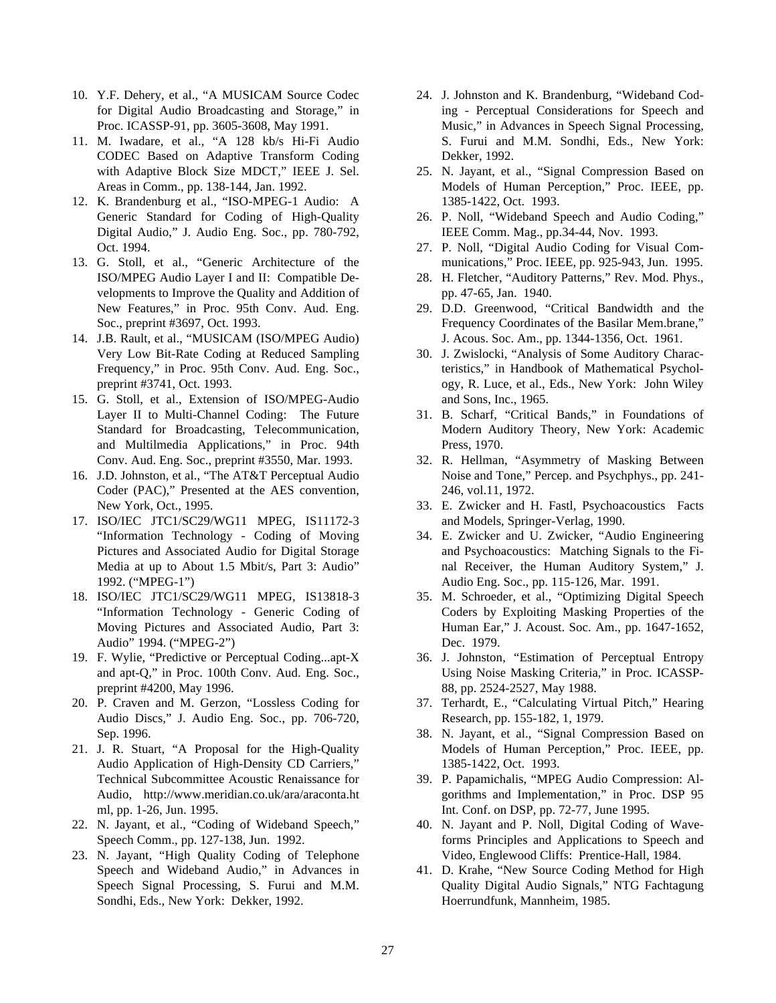- 10. Y.F. Dehery, et al., "A MUSICAM Source Codec for Digital Audio Broadcasting and Storage," in Proc. ICASSP-91, pp. 3605-3608, May 1991.
- 11. M. Iwadare, et al., "A 128 kb/s Hi-Fi Audio CODEC Based on Adaptive Transform Coding with Adaptive Block Size MDCT," IEEE J. Sel. Areas in Comm., pp. 138-144, Jan. 1992.
- 12. K. Brandenburg et al., "ISO-MPEG-1 Audio: A Generic Standard for Coding of High-Quality Digital Audio," J. Audio Eng. Soc., pp. 780-792, Oct. 1994.
- 13. G. Stoll, et al., "Generic Architecture of the ISO/MPEG Audio Layer I and II: Compatible Developments to Improve the Quality and Addition of New Features," in Proc. 95th Conv. Aud. Eng. Soc., preprint #3697, Oct. 1993.
- 14. J.B. Rault, et al., "MUSICAM (ISO/MPEG Audio) Very Low Bit-Rate Coding at Reduced Sampling Frequency," in Proc. 95th Conv. Aud. Eng. Soc., preprint #3741, Oct. 1993.
- 15. G. Stoll, et al., Extension of ISO/MPEG-Audio Layer II to Multi-Channel Coding: The Future Standard for Broadcasting, Telecommunication, and Multilmedia Applications," in Proc. 94th Conv. Aud. Eng. Soc., preprint #3550, Mar. 1993.
- 16. J.D. Johnston, et al., "The AT&T Perceptual Audio Coder (PAC)," Presented at the AES convention, New York, Oct., 1995.
- 17. ISO/IEC JTC1/SC29/WG11 MPEG, IS11172-3 "Information Technology - Coding of Moving Pictures and Associated Audio for Digital Storage Media at up to About 1.5 Mbit/s, Part 3: Audio" 1992. ("MPEG-1")
- 18. ISO/IEC JTC1/SC29/WG11 MPEG, IS13818-3 "Information Technology - Generic Coding of Moving Pictures and Associated Audio, Part 3: Audio" 1994. ("MPEG-2")
- 19. F. Wylie, "Predictive or Perceptual Coding...apt-X and apt-Q," in Proc. 100th Conv. Aud. Eng. Soc., preprint #4200, May 1996.
- 20. P. Craven and M. Gerzon, "Lossless Coding for Audio Discs," J. Audio Eng. Soc., pp. 706-720, Sep. 1996.
- 21. J. R. Stuart, "A Proposal for the High-Quality Audio Application of High-Density CD Carriers," Technical Subcommittee Acoustic Renaissance for Audio, http://www.meridian.co.uk/ara/araconta.ht ml, pp. 1-26, Jun. 1995.
- 22. N. Jayant, et al., "Coding of Wideband Speech," Speech Comm., pp. 127-138, Jun. 1992.
- 23. N. Jayant, "High Quality Coding of Telephone Speech and Wideband Audio," in Advances in Speech Signal Processing, S. Furui and M.M. Sondhi, Eds., New York: Dekker, 1992.
- 24. J. Johnston and K. Brandenburg, "Wideband Coding - Perceptual Considerations for Speech and Music," in Advances in Speech Signal Processing, S. Furui and M.M. Sondhi, Eds., New York: Dekker, 1992.
- 25. N. Jayant, et al., "Signal Compression Based on Models of Human Perception," Proc. IEEE, pp. 1385-1422, Oct. 1993.
- 26. P. Noll, "Wideband Speech and Audio Coding," IEEE Comm. Mag., pp.34-44, Nov. 1993.
- 27. P. Noll, "Digital Audio Coding for Visual Communications," Proc. IEEE, pp. 925-943, Jun. 1995.
- 28. H. Fletcher, "Auditory Patterns," Rev. Mod. Phys., pp. 47-65, Jan. 1940.
- 29. D.D. Greenwood, "Critical Bandwidth and the Frequency Coordinates of the Basilar Mem.brane," J. Acous. Soc. Am., pp. 1344-1356, Oct. 1961.
- 30. J. Zwislocki, "Analysis of Some Auditory Characteristics," in Handbook of Mathematical Psychology, R. Luce, et al., Eds., New York: John Wiley and Sons, Inc., 1965.
- 31. B. Scharf, "Critical Bands," in Foundations of Modern Auditory Theory, New York: Academic Press, 1970.
- 32. R. Hellman, "Asymmetry of Masking Between Noise and Tone," Percep. and Psychphys., pp. 241- 246, vol.11, 1972.
- 33. E. Zwicker and H. Fastl, Psychoacoustics Facts and Models, Springer-Verlag, 1990.
- 34. E. Zwicker and U. Zwicker, "Audio Engineering and Psychoacoustics: Matching Signals to the Final Receiver, the Human Auditory System," J. Audio Eng. Soc., pp. 115-126, Mar. 1991.
- 35. M. Schroeder, et al., "Optimizing Digital Speech Coders by Exploiting Masking Properties of the Human Ear," J. Acoust. Soc. Am., pp. 1647-1652, Dec. 1979.
- 36. J. Johnston, "Estimation of Perceptual Entropy Using Noise Masking Criteria," in Proc. ICASSP-88, pp. 2524-2527, May 1988.
- 37. Terhardt, E., "Calculating Virtual Pitch," Hearing Research, pp. 155-182, 1, 1979.
- 38. N. Jayant, et al., "Signal Compression Based on Models of Human Perception," Proc. IEEE, pp. 1385-1422, Oct. 1993.
- 39. P. Papamichalis, "MPEG Audio Compression: Algorithms and Implementation," in Proc. DSP 95 Int. Conf. on DSP, pp. 72-77, June 1995.
- 40. N. Jayant and P. Noll, Digital Coding of Waveforms Principles and Applications to Speech and Video, Englewood Cliffs: Prentice-Hall, 1984.
- 41. D. Krahe, "New Source Coding Method for High Quality Digital Audio Signals," NTG Fachtagung Hoerrundfunk, Mannheim, 1985.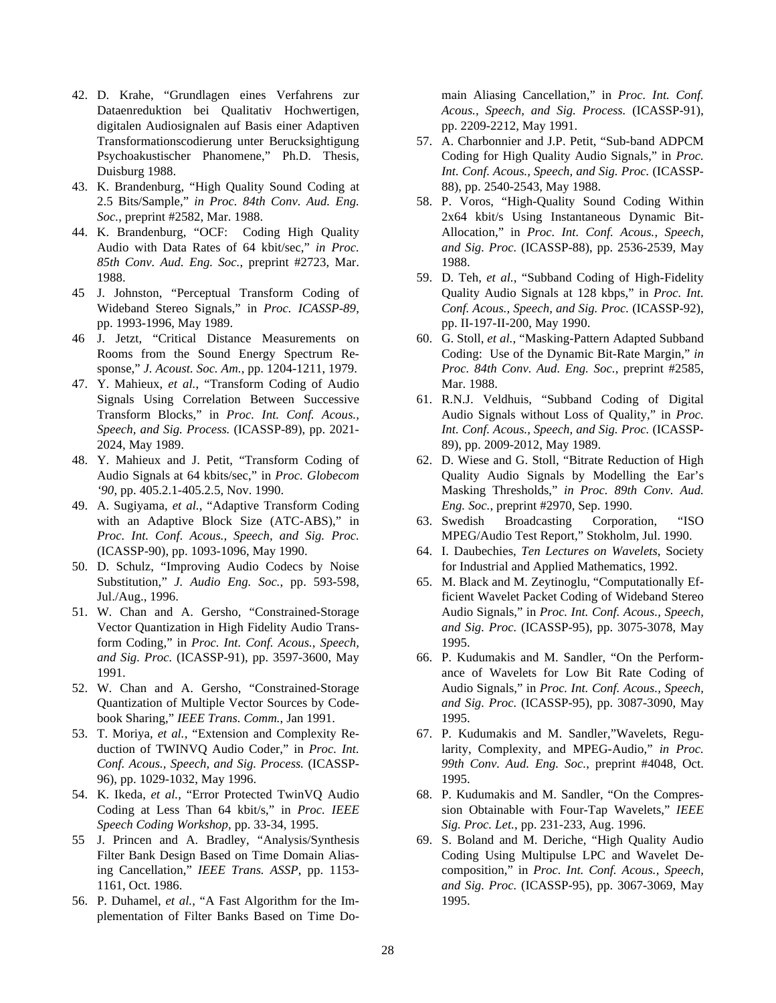- 42. D. Krahe, "Grundlagen eines Verfahrens zur Dataenreduktion bei Qualitativ Hochwertigen, digitalen Audiosignalen auf Basis einer Adaptiven Transformationscodierung unter Berucksightigung Psychoakustischer Phanomene," Ph.D. Thesis, Duisburg 1988.
- 43. K. Brandenburg, "High Quality Sound Coding at 2.5 Bits/Sample," *in Proc. 84th Conv. Aud. Eng. Soc.*, preprint #2582, Mar. 1988.
- 44. K. Brandenburg, "OCF: Coding High Quality Audio with Data Rates of 64 kbit/sec," *in Proc. 85th Conv. Aud. Eng. Soc.*, preprint #2723, Mar. 1988.
- 45 J. Johnston, "Perceptual Transform Coding of Wideband Stereo Signals," in *Proc. ICASSP-89*, pp. 1993-1996, May 1989.
- 46 J. Jetzt, "Critical Distance Measurements on Rooms from the Sound Energy Spectrum Response," *J. Acoust. Soc. Am.,* pp. 1204-1211, 1979.
- 47. Y. Mahieux, *et al.*, "Transform Coding of Audio Signals Using Correlation Between Successive Transform Blocks," in *Proc. Int. Conf. Acous., Speech, and Sig. Process.* (ICASSP-89), pp. 2021- 2024, May 1989.
- 48. Y. Mahieux and J. Petit, "Transform Coding of Audio Signals at 64 kbits/sec," in *Proc. Globecom '90*, pp. 405.2.1-405.2.5, Nov. 1990.
- 49. A. Sugiyama, *et al.*, "Adaptive Transform Coding with an Adaptive Block Size (ATC-ABS)," in *Proc. Int. Conf. Acous., Speech, and Sig. Proc.* (ICASSP-90), pp. 1093-1096, May 1990.
- 50. D. Schulz, "Improving Audio Codecs by Noise Substitution," *J. Audio Eng. Soc.*, pp. 593-598, Jul./Aug., 1996.
- 51. W. Chan and A. Gersho, "Constrained-Storage Vector Quantization in High Fidelity Audio Transform Coding," in *Proc. Int. Conf. Acous., Speech, and Sig. Proc.* (ICASSP-91), pp. 3597-3600, May 1991.
- 52. W. Chan and A. Gersho, "Constrained-Storage Quantization of Multiple Vector Sources by Codebook Sharing," *IEEE Trans. Comm.*, Jan 1991.
- 53. T. Moriya, *et al.*, "Extension and Complexity Reduction of TWINVQ Audio Coder," in *Proc. Int. Conf. Acous., Speech, and Sig. Process.* (ICASSP-96), pp. 1029-1032, May 1996.
- 54. K. Ikeda, *et al.*, "Error Protected TwinVQ Audio Coding at Less Than 64 kbit/s," in *Proc. IEEE Speech Coding Workshop,* pp. 33-34, 1995.
- 55 J. Princen and A. Bradley, "Analysis/Synthesis Filter Bank Design Based on Time Domain Aliasing Cancellation," *IEEE Trans. ASSP*, pp. 1153- 1161, Oct. 1986.
- 56. P. Duhamel, *et al.*, "A Fast Algorithm for the Implementation of Filter Banks Based on Time Do-

main Aliasing Cancellation," in *Proc. Int. Conf. Acous., Speech, and Sig. Process.* (ICASSP-91), pp. 2209-2212, May 1991.

- 57. A. Charbonnier and J.P. Petit, "Sub-band ADPCM Coding for High Quality Audio Signals," in *Proc. Int. Conf. Acous., Speech, and Sig. Proc.* (ICASSP-88), pp. 2540-2543, May 1988.
- 58. P. Voros, "High-Quality Sound Coding Within 2x64 kbit/s Using Instantaneous Dynamic Bit-Allocation," in *Proc. Int. Conf. Acous., Speech, and Sig. Proc.* (ICASSP-88), pp. 2536-2539, May 1988.
- 59. D. Teh, *et al.*, "Subband Coding of High-Fidelity Quality Audio Signals at 128 kbps," in *Proc. Int. Conf. Acous., Speech, and Sig. Proc.* (ICASSP-92), pp. II-197-II-200, May 1990.
- 60. G. Stoll, *et al.*, "Masking-Pattern Adapted Subband Coding: Use of the Dynamic Bit-Rate Margin," *in Proc. 84th Conv. Aud. Eng. Soc.*, preprint #2585, Mar. 1988.
- 61. R.N.J. Veldhuis, "Subband Coding of Digital Audio Signals without Loss of Quality," in *Proc. Int. Conf. Acous., Speech, and Sig. Proc.* (ICASSP-89), pp. 2009-2012, May 1989.
- 62. D. Wiese and G. Stoll, "Bitrate Reduction of High Quality Audio Signals by Modelling the Ear's Masking Thresholds," *in Proc. 89th Conv. Aud. Eng. Soc.*, preprint #2970, Sep. 1990.
- 63. Swedish Broadcasting Corporation, "ISO MPEG/Audio Test Report," Stokholm, Jul. 1990.
- 64. I. Daubechies, *Ten Lectures on Wavelets*, Society for Industrial and Applied Mathematics, 1992.
- 65. M. Black and M. Zeytinoglu, "Computationally Efficient Wavelet Packet Coding of Wideband Stereo Audio Signals," in *Proc. Int. Conf. Acous., Speech, and Sig. Proc.* (ICASSP-95), pp. 3075-3078, May 1995.
- 66. P. Kudumakis and M. Sandler, "On the Performance of Wavelets for Low Bit Rate Coding of Audio Signals," in *Proc. Int. Conf. Acous., Speech, and Sig. Proc.* (ICASSP-95), pp. 3087-3090, May 1995.
- 67. P. Kudumakis and M. Sandler,"Wavelets, Regularity, Complexity, and MPEG-Audio," *in Proc. 99th Conv. Aud. Eng. Soc.*, preprint #4048, Oct. 1995.
- 68. P. Kudumakis and M. Sandler, "On the Compression Obtainable with Four-Tap Wavelets," *IEEE Sig. Proc. Let.*, pp. 231-233, Aug. 1996.
- 69. S. Boland and M. Deriche, "High Quality Audio Coding Using Multipulse LPC and Wavelet Decomposition," in *Proc. Int. Conf. Acous., Speech, and Sig. Proc.* (ICASSP-95), pp. 3067-3069, May 1995.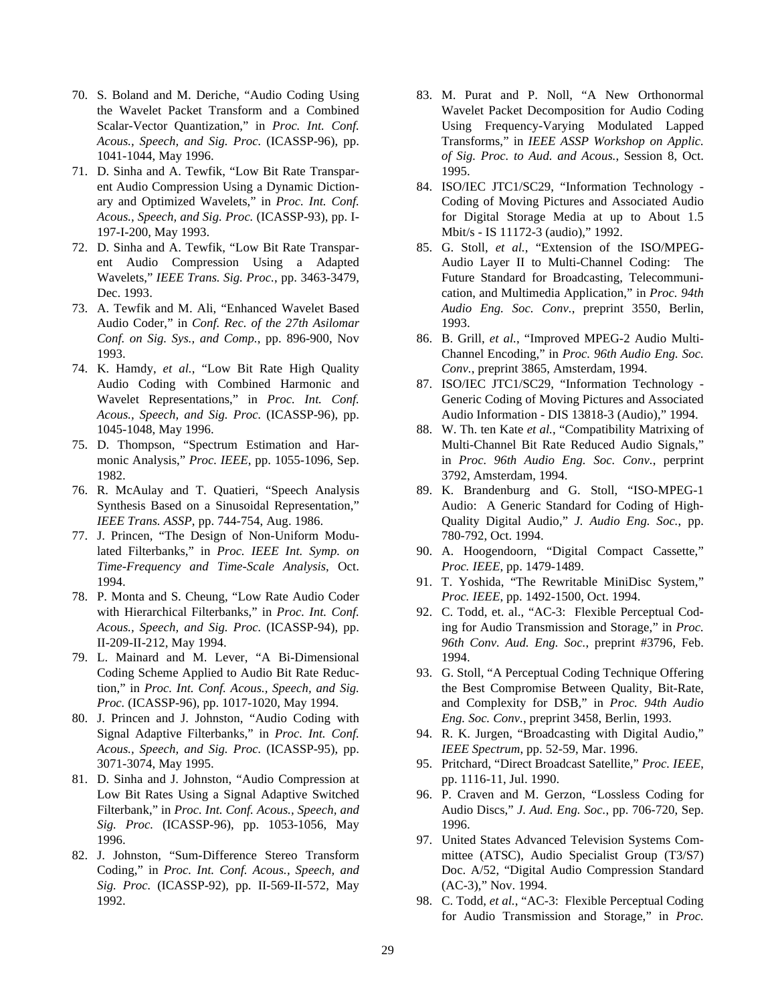- 70. S. Boland and M. Deriche, "Audio Coding Using the Wavelet Packet Transform and a Combined Scalar-Vector Quantization," in *Proc. Int. Conf. Acous., Speech, and Sig. Proc.* (ICASSP-96), pp. 1041-1044, May 1996.
- 71. D. Sinha and A. Tewfik, "Low Bit Rate Transparent Audio Compression Using a Dynamic Dictionary and Optimized Wavelets," in *Proc. Int. Conf. Acous., Speech, and Sig. Proc.* (ICASSP-93), pp. I-197-I-200, May 1993.
- 72. D. Sinha and A. Tewfik, "Low Bit Rate Transparent Audio Compression Using a Adapted Wavelets," *IEEE Trans. Sig. Proc.*, pp. 3463-3479, Dec. 1993.
- 73. A. Tewfik and M. Ali, "Enhanced Wavelet Based Audio Coder," in *Conf. Rec. of the 27th Asilomar Conf. on Sig. Sys., and Comp.*, pp. 896-900, Nov 1993.
- 74. K. Hamdy, *et al.*, "Low Bit Rate High Quality Audio Coding with Combined Harmonic and Wavelet Representations," in *Proc. Int. Conf. Acous., Speech, and Sig. Proc.* (ICASSP-96), pp. 1045-1048, May 1996.
- 75. D. Thompson, "Spectrum Estimation and Harmonic Analysis," *Proc. IEEE*, pp. 1055-1096, Sep. 1982.
- 76. R. McAulay and T. Quatieri, "Speech Analysis Synthesis Based on a Sinusoidal Representation," *IEEE Trans. ASSP*, pp. 744-754, Aug. 1986.
- 77. J. Princen, "The Design of Non-Uniform Modulated Filterbanks," in *Proc. IEEE Int. Symp. on Time-Frequency and Time-Scale Analysis*, Oct. 1994.
- 78. P. Monta and S. Cheung, "Low Rate Audio Coder with Hierarchical Filterbanks," in *Proc. Int. Conf. Acous., Speech, and Sig. Proc.* (ICASSP-94), pp. II-209-II-212, May 1994.
- 79. L. Mainard and M. Lever, "A Bi-Dimensional Coding Scheme Applied to Audio Bit Rate Reduction," in *Proc. Int. Conf. Acous., Speech, and Sig. Proc.* (ICASSP-96), pp. 1017-1020, May 1994.
- 80. J. Princen and J. Johnston, "Audio Coding with Signal Adaptive Filterbanks," in *Proc. Int. Conf. Acous., Speech, and Sig. Proc.* (ICASSP-95), pp. 3071-3074, May 1995.
- 81. D. Sinha and J. Johnston, "Audio Compression at Low Bit Rates Using a Signal Adaptive Switched Filterbank," in *Proc. Int. Conf. Acous., Speech, and Sig. Proc.* (ICASSP-96), pp. 1053-1056, May 1996.
- 82. J. Johnston, "Sum-Difference Stereo Transform Coding," in *Proc. Int. Conf. Acous., Speech, and Sig. Proc.* (ICASSP-92), pp. II-569-II-572, May 1992.
- 83. M. Purat and P. Noll, "A New Orthonormal Wavelet Packet Decomposition for Audio Coding Using Frequency-Varying Modulated Lapped Transforms," in *IEEE ASSP Workshop on Applic. of Sig. Proc. to Aud. and Acous.*, Session 8, Oct. 1995.
- 84. ISO/IEC JTC1/SC29, "Information Technology Coding of Moving Pictures and Associated Audio for Digital Storage Media at up to About 1.5 Mbit/s - IS 11172-3 (audio)," 1992.
- 85. G. Stoll, *et al.*, "Extension of the ISO/MPEG-Audio Layer II to Multi-Channel Coding: The Future Standard for Broadcasting, Telecommunication, and Multimedia Application," in *Proc. 94th Audio Eng. Soc. Conv.*, preprint 3550, Berlin, 1993.
- 86. B. Grill, *et al.*, "Improved MPEG-2 Audio Multi-Channel Encoding," in *Proc. 96th Audio Eng. Soc. Conv.*, preprint 3865, Amsterdam, 1994.
- 87. ISO/IEC JTC1/SC29, "Information Technology Generic Coding of Moving Pictures and Associated Audio Information - DIS 13818-3 (Audio)," 1994.
- 88. W. Th. ten Kate *et al.*, "Compatibility Matrixing of Multi-Channel Bit Rate Reduced Audio Signals," in *Proc. 96th Audio Eng. Soc. Conv.*, perprint 3792, Amsterdam, 1994.
- 89. K. Brandenburg and G. Stoll, "ISO-MPEG-1 Audio: A Generic Standard for Coding of High-Quality Digital Audio," *J. Audio Eng. Soc.*, pp. 780-792, Oct. 1994.
- 90. A. Hoogendoorn, "Digital Compact Cassette," *Proc. IEEE*, pp. 1479-1489.
- 91. T. Yoshida, "The Rewritable MiniDisc System," *Proc. IEEE*, pp. 1492-1500, Oct. 1994.
- 92. C. Todd, et. al., "AC-3: Flexible Perceptual Coding for Audio Transmission and Storage," in *Proc. 96th Conv. Aud. Eng. Soc.*, preprint #3796, Feb. 1994.
- 93. G. Stoll, "A Perceptual Coding Technique Offering the Best Compromise Between Quality, Bit-Rate, and Complexity for DSB," in *Proc. 94th Audio Eng. Soc. Conv.*, preprint 3458, Berlin, 1993.
- 94. R. K. Jurgen, "Broadcasting with Digital Audio," *IEEE Spectrum*, pp. 52-59, Mar. 1996.
- 95. Pritchard, "Direct Broadcast Satellite," *Proc. IEEE*, pp. 1116-11, Jul. 1990.
- 96. P. Craven and M. Gerzon, "Lossless Coding for Audio Discs," *J. Aud. Eng. Soc.*, pp. 706-720, Sep. 1996.
- 97. United States Advanced Television Systems Committee (ATSC), Audio Specialist Group (T3/S7) Doc. A/52, "Digital Audio Compression Standard (AC-3)," Nov. 1994.
- 98. C. Todd, *et al.*, "AC-3: Flexible Perceptual Coding for Audio Transmission and Storage," in *Proc.*